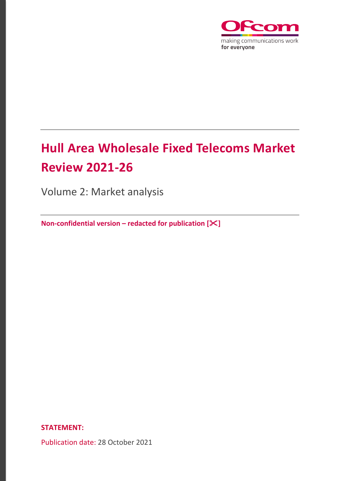

# **Hull Area Wholesale Fixed Telecoms Market Review 2021-26**

Volume 2: Market analysis

**Non-confidential version – redacted for publication []**

**STATEMENT:**

Publication date: 28 October 2021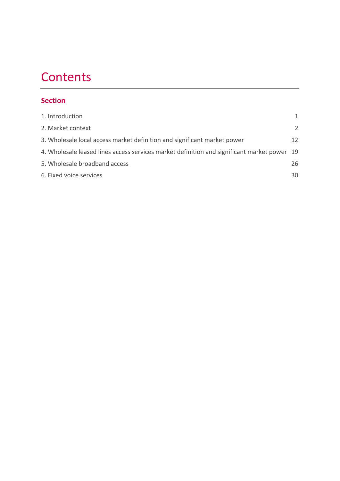# **Contents**

# **Section**

| 1. Introduction                                                                             | 1             |
|---------------------------------------------------------------------------------------------|---------------|
| 2. Market context                                                                           | $\mathcal{L}$ |
| 3. Wholesale local access market definition and significant market power                    | 12            |
| 4. Wholesale leased lines access services market definition and significant market power 19 |               |
| 5. Wholesale broadband access                                                               | 26            |
| 6. Fixed voice services                                                                     | 30            |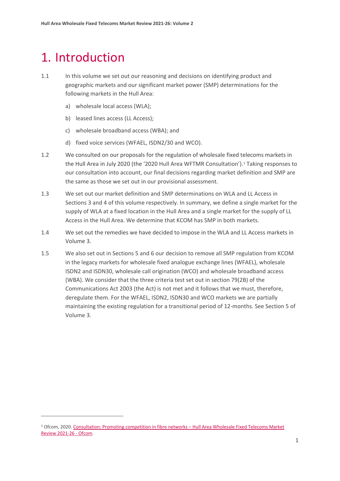# <span id="page-2-0"></span>1. Introduction

- 1.1 In this volume we set out our reasoning and decisions on identifying product and geographic markets and our significant market power (SMP) determinations for the following markets in the Hull Area:
	- a) wholesale local access (WLA);
	- b) leased lines access (LL Access);
	- c) wholesale broadband access (WBA); and
	- d) fixed voice services (WFAEL, ISDN2/30 and WCO).
- 1.2 We consulted on our proposals for the regulation of wholesale fixed telecoms markets in the Hull Area in July 2020 (the '2020 Hull Area WFTMR Consultation')[.1](#page-2-1) Taking responses to our consultation into account, our final decisions regarding market definition and SMP are the same as those we set out in our provisional assessment.
- 1.3 We set out our market definition and SMP determinations on WLA and LL Access in Sections 3 and 4 of this volume respectively. In summary, we define a single market for the supply of WLA at a fixed location in the Hull Area and a single market for the supply of LL Access in the Hull Area. We determine that KCOM has SMP in both markets.
- 1.4 We set out the remedies we have decided to impose in the WLA and LL Access markets in Volume 3.
- 1.5 We also set out in Sections 5 and 6 our decision to remove all SMP regulation from KCOM in the legacy markets for wholesale fixed analogue exchange lines (WFAEL), wholesale ISDN2 and ISDN30, wholesale call origination (WCO) and wholesale broadband access (WBA). We consider that the three criteria test set out in section 79(2B) of the Communications Act 2003 (the Act) is not met and it follows that we must, therefore, deregulate them. For the WFAEL, ISDN2, ISDN30 and WCO markets we are partially maintaining the existing regulation for a transitional period of 12-months. See Section 5 of Volume 3.

<span id="page-2-1"></span><sup>1</sup> Ofcom, 2020[. Consultation: Promoting competition in fibre networks –](https://www.ofcom.org.uk/consultations-and-statements/category-1/2021-26-hull-area-wholesale-fixed-telecoms-market-review) Hull Area Wholesale Fixed Telecoms Market [Review 2021-26 -](https://www.ofcom.org.uk/consultations-and-statements/category-1/2021-26-hull-area-wholesale-fixed-telecoms-market-review) Ofcom.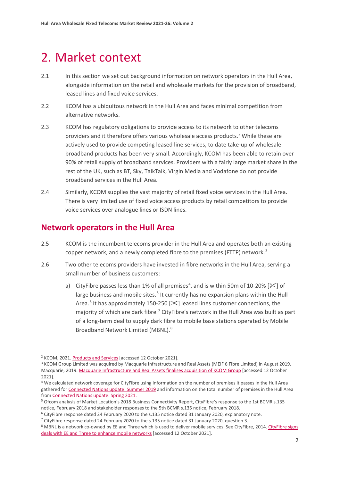# <span id="page-3-0"></span>2. Market context

- 2.1 In this section we set out background information on network operators in the Hull Area, alongside information on the retail and wholesale markets for the provision of broadband, leased lines and fixed voice services.
- 2.2 KCOM has a ubiquitous network in the Hull Area and faces minimal competition from alternative networks.
- 2.3 KCOM has regulatory obligations to provide access to its network to other telecoms providers and it therefore offers various wholesale access products.[2](#page-3-1) While these are actively used to provide competing leased line services, to date take-up of wholesale broadband products has been very small. Accordingly, KCOM has been able to retain over 90% of retail supply of broadband services. Providers with a fairly large market share in the rest of the UK, such as BT, Sky, TalkTalk, Virgin Media and Vodafone do not provide broadband services in the Hull Area.
- 2.4 Similarly, KCOM supplies the vast majority of retail fixed voice services in the Hull Area. There is very limited use of fixed voice access products by retail competitors to provide voice services over analogue lines or ISDN lines.

# **Network operators in the Hull Area**

- 2.5 KCOM is the incumbent telecoms provider in the Hull Area and operates both an existing copper network, and a newly completed fibre to the premises (FTTP) network.<sup>[3](#page-3-2)</sup>
- 2.6 Two other telecoms providers have invested in fibre networks in the Hull Area, serving a small number of business customers:
	- a) CityFibre passes less than 1% of all premises<sup>[4](#page-3-3)</sup>, and is within 50m of 10-20% [ $\le$ ] of large business and mobile sites.<sup>[5](#page-3-4)</sup> It currently has no expansion plans within the Hull Area.<sup>[6](#page-3-5)</sup> It has approximately 150-250 [ $\ll$ ] leased lines customer connections, the majority of which are dark fibre.[7](#page-3-6) CityFibre's network in the Hull Area was built as part of a long-term deal to supply dark fibre to mobile base stations operated by Mobile Broadband Network Limited (MBNL).[8](#page-3-7)

<span id="page-3-1"></span><sup>2</sup> KCOM, 2021. [Products and Services](https://www.kcom.com/wholesale/products/) [accessed 12 October 2021].

<span id="page-3-2"></span><sup>&</sup>lt;sup>3</sup> KCOM Group Limited was acquired by Macquarie Infrastructure and Real Assets (MEIF 6 Fibre Limited) in August 2019. Macquarie, 2019. [Macquarie Infrastructure and Real Assets finalises acquisition of KCOM Group](https://www.macquarie.com/au/en/about/news/2019/macquarie-infrastructure-and-real-assets-finalises-acquisition-of-kcom-group.html) [accessed 12 October 2021].

<span id="page-3-3"></span><sup>4</sup> We calculated network coverage for CityFibre using information on the number of premises it passes in the Hull Area gathered for [Connected Nations update: Summer 2019](https://www.ofcom.org.uk/research-and-data/multi-sector-research/infrastructure-research/connected-nations-update-summer-2019) and information on the total number of premises in the Hull Area from [Connected Nations update: Spring 2021.](https://www.ofcom.org.uk/research-and-data/multi-sector-research/infrastructure-research/connected-nations-update-summer-2021)

<span id="page-3-4"></span><sup>5</sup> Ofcom analysis of Market Location's 2018 Business Connectivity Report, CityFibre's response to the 1st BCMR s.135 notice, February 2018 and stakeholder responses to the 5th BCMR s.135 notice, February 2018.

<span id="page-3-5"></span><sup>6</sup> CityFibre response dated 24 February 2020 to the s.135 notice dated 31 January 2020, explanatory note.

<span id="page-3-6"></span><sup>7</sup> CityFibre response dated 24 February 2020 to the s.135 notice dated 31 January 2020, question 3.

<span id="page-3-7"></span><sup>&</sup>lt;sup>8</sup> MBNL is a network co-owned by EE and Three which is used to deliver mobile services. See CityFibre, 2014. [CityFibre signs](https://www.cityfibre.com/news/20141112cityfibre-signs-dark-fibre-deals-with-ee-and-three-to-enhance-mobile-networks/) [deals with EE and Three to enhance mobile networks](https://www.cityfibre.com/news/20141112cityfibre-signs-dark-fibre-deals-with-ee-and-three-to-enhance-mobile-networks/) [accessed 12 October 2021].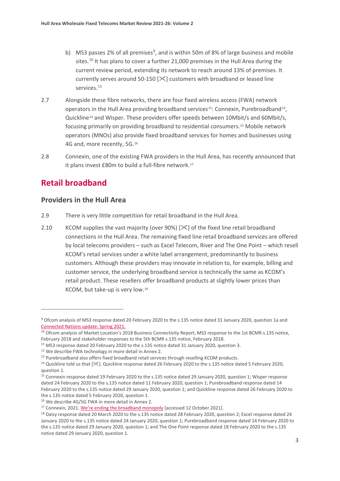- b) MS3 passes 2% of all premises<sup>[9](#page-4-0)</sup>, and is within 50m of 8% of large business and mobile sites.<sup>[10](#page-4-1)</sup> It has plans to cover a further 21,000 premises in the Hull Area during the current review period, extending its network to reach around 13% of premises. It currently serves around 50-150  $[\times]$  customers with broadband or leased line services.<sup>[11](#page-4-2)</sup>
- 2.7 Alongside these fibre networks, there are four fixed wireless access (FWA) network operators in the Hull Area providing broadband services<sup>12</sup>: Connexin, Purebroadband<sup>13</sup>, Quickline<sup>[14](#page-4-5)</sup> and Wisper. These providers offer speeds between 10Mbit/s and 60Mbit/s, focusing primarily on providing broadband to residential consumers.[15](#page-4-6) Mobile network operators (MNOs) also provide fixed broadband services for homes and businesses using 4G and, more recently, 5G.[16](#page-4-7)
- 2.8 Connexin, one of the existing FWA providers in the Hull Area, has recently announced that it plans invest £80m to build a full-fibre network.<sup>[17](#page-4-8)</sup>

# **Retail broadband**

## **Providers in the Hull Area**

- 2.9 There is very little competition for retail broadband in the Hull Area.
- 2.10 KCOM supplies the vast majority (over 90%)  $[35]$  of the fixed line retail broadband connections in the Hull Area. The remaining fixed line retail broadband services are offered by local telecoms providers – such as Excel Telecom, River and The One Point – which resell KCOM's retail services under a white label arrangement, predominantly to business customers. Although these providers may innovate in relation to, for example, billing and customer service, the underlying broadband service is technically the same as KCOM's retail product. These resellers offer broadband products at slightly lower prices than KCOM, but take-up is very low.[18](#page-4-9)

<span id="page-4-0"></span><sup>9</sup> Ofcom analysis of MS3 response dated 20 February 2020 to the s.135 notice dated 31 January 2020, question 1a and [Connected Nations update: Spring 2021.](https://www.ofcom.org.uk/__data/assets/pdf_file/0028/218881/Connected-Nations-Spring-Update-2021.pdf)

<span id="page-4-1"></span><sup>&</sup>lt;sup>10</sup> Ofcom analysis of Market Location's 2018 Business Connectivity Report, MS3 response to the 1st BCMR s.135 notice, February 2018 and stakeholder responses to the 5th BCMR s.135 notice, February 2018.

<span id="page-4-2"></span><sup>&</sup>lt;sup>11</sup> MS3 response dated 20 February 2020 to the s.135 notice dated 31 January 2020, question 3.

<span id="page-4-3"></span><sup>&</sup>lt;sup>12</sup> We describe FWA technology in more detail in Annex 2.

<span id="page-4-4"></span><sup>&</sup>lt;sup>13</sup> Purebroadband also offers fixed broadband retail services through reselling KCOM products.

<span id="page-4-5"></span><sup>&</sup>lt;sup>14</sup> Quickline told us that  $[\&$ . Quickline response dated 26 February 2020 to the s.135 notice dated 5 February 2020, question 1.

<span id="page-4-6"></span><sup>&</sup>lt;sup>15</sup> Connexin response dated 19 February 2020 to the s.135 notice dated 29 January 2020, question 1; Wisper response dated 24 February 2020 to the s.135 notice dated 11 February 2020, question 1; Purebroadband response dated 14 February 2020 to the s.135 notice dated 29 January 2020, question 1; and Quickline response dated 26 February 2020 to the s.135 notice dated 5 February 2020, question 1.

<span id="page-4-7"></span><sup>16</sup> We describe 4G/5G FWA in more detail in Annex 2.

<span id="page-4-9"></span><span id="page-4-8"></span><sup>&</sup>lt;sup>17</sup> Connexin, 2021. We're ending the broadband monopoly [accessed 12 October 2021].<br><sup>18</sup> Daisy response dated 20 March 2020 to the s.135 notice dated 28 February 2020, question 2; Excel response dated 24 January 2020 to the s.135 notice dated 24 January 2020, question 1; Purebroadband response dated 14 February 2020 to the s.135 notice dated 29 January 2020, question 1; and The One Point response dated 18 February 2020 to the s.135 notice dated 29 January 2020, question 1.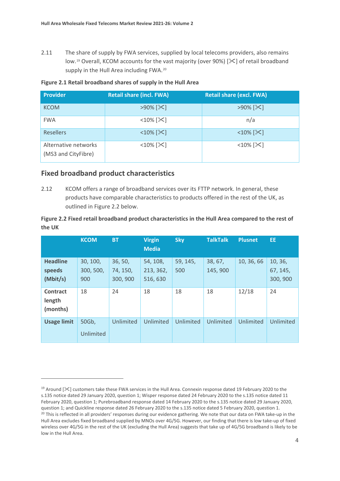2.11 The share of supply by FWA services, supplied by local telecoms providers, also remains low.<sup>[19](#page-5-0)</sup> Overall, KCOM accounts for the vast majority (over 90%) [ $\mathbb{X}$ ] of retail broadband supply in the Hull Area including FWA.<sup>[20](#page-5-1)</sup>

|  | Figure 2.1 Retail broadband shares of supply in the Hull Area |  |  |  |
|--|---------------------------------------------------------------|--|--|--|
|  |                                                               |  |  |  |

| Provider                                    | <b>Retail share (incl. FWA)</b> | <b>Retail share (excl. FWA)</b> |
|---------------------------------------------|---------------------------------|---------------------------------|
| <b>KCOM</b>                                 | $>90\%$ [ $\&$ ]                | $>90\%$ [ $\times$ ]            |
| <b>FWA</b>                                  | $<$ 10% $[\times]$              | n/a                             |
| <b>Resellers</b>                            | $<$ 10% $[\times]$              | $<$ 10% $[\times]$              |
| Alternative networks<br>(MS3 and CityFibre) | $<$ 10% $[\times]$              | $<$ 10% $[\times]$              |

## **Fixed broadband product characteristics**

2.12 KCOM offers a range of broadband services over its FTTP network. In general, these products have comparable characteristics to products offered in the rest of the UK, as outlined in Figure 2.2 below.

### **Figure 2.2 Fixed retail broadband product characteristics in the Hull Area compared to the rest of the UK**

|                                       | <b>KCOM</b>                  | <b>BT</b>                       | <b>Virgin</b><br><b>Media</b>     | <b>Sky</b>      | <b>TalkTalk</b>    | <b>Plusnet</b> | EE.                             |
|---------------------------------------|------------------------------|---------------------------------|-----------------------------------|-----------------|--------------------|----------------|---------------------------------|
| <b>Headline</b><br>speeds<br>(Mbit/s) | 30, 100,<br>300, 500,<br>900 | 36, 50,<br>74, 150,<br>300, 900 | 54, 108,<br>213, 362,<br>516, 630 | 59, 145,<br>500 | 38, 67,<br>145,900 | 10, 36, 66     | 10, 36,<br>67, 145,<br>300, 900 |
| Contract<br>length<br>(months)        | 18                           | 24                              | 18                                | 18              | 18                 | 12/18          | 24                              |
| <b>Usage limit</b>                    | 50Gb,<br>Unlimited           | Unlimited                       | Unlimited                         | Unlimited       | Unlimited          | Unlimited      | Unlimited                       |

<span id="page-5-1"></span><span id="page-5-0"></span><sup>&</sup>lt;sup>19</sup> Around  $[\&]$  customers take these FWA services in the Hull Area. Connexin response dated 19 February 2020 to the s.135 notice dated 29 January 2020, question 1; Wisper response dated 24 February 2020 to the s.135 notice dated 11 February 2020, question 1; Purebroadband response dated 14 February 2020 to the s.135 notice dated 29 January 2020, question 1; and Quickline response dated 26 February 2020 to the s.135 notice dated 5 February 2020, question 1. <sup>20</sup> This is reflected in all providers' responses during our evidence gathering. We note that our data on FWA take-up in the Hull Area excludes fixed broadband supplied by MNOs over 4G/5G. However, our finding that there is low take-up of fixed wireless over 4G/5G in the rest of the UK (excluding the Hull Area) suggests that take up of 4G/5G broadband is likely to be low in the Hull Area.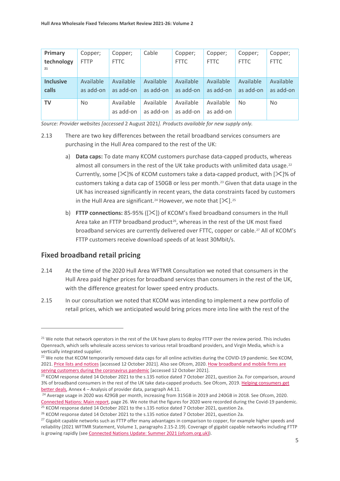| Primary                   | Copper;                | Copper;                | Cable                  | Copper;                | Copper;                | Copper;                | Copper;                |
|---------------------------|------------------------|------------------------|------------------------|------------------------|------------------------|------------------------|------------------------|
| technology<br>21          | <b>FTTP</b>            | <b>FTTC</b>            |                        | <b>FTTC</b>            | <b>FTTC</b>            | <b>FTTC</b>            | <b>FTTC</b>            |
| <b>Inclusive</b><br>calls | Available<br>as add-on | Available<br>as add-on | Available<br>as add-on | Available<br>as add-on | Available<br>as add-on | Available<br>as add-on | Available<br>as add-on |
| TV                        | No.                    | Available<br>as add-on | Available<br>as add-on | Available<br>as add-on | Available<br>as add-on | <b>No</b>              | N <sub>o</sub>         |

*Source: Provider websites [accessed* 2 August 2021*]. Products available for new supply only.*

- 2.13 There are two key differences between the retail broadband services consumers are purchasing in the Hull Area compared to the rest of the UK:
	- a) **Data caps:** To date many KCOM customers purchase data-capped products, whereas almost all consumers in the rest of the UK take products with unlimited data usage.<sup>[22](#page-6-1)</sup> Currently, some  $[\times]$ % of KCOM customers take a data-capped product, with  $[\times]$ % of customers taking a data cap of 150GB or less per month.<sup>[23](#page-6-2)</sup> Given that data usage in the UK has increased significantly in recent years, the data constraints faced by customers in the Hull Area are significant.<sup>[24](#page-6-3)</sup> However, we note that  $[\mathcal{K}]$ .<sup>[25](#page-6-4)</sup>
	- b) **FTTP connections:** 85-95% ([ $\angle$ ) of KCOM's fixed broadband consumers in the Hull Area take an FTTP broadband product<sup>26</sup>, whereas in the rest of the UK most fixed broadband services are currently delivered over FTTC, copper or cable.[27](#page-6-6) All of KCOM's FTTP customers receive download speeds of at least 30Mbit/s.

## **Fixed broadband retail pricing**

- 2.14 At the time of the 2020 Hull Area WFTMR Consultation we noted that consumers in the Hull Area paid higher prices for broadband services than consumers in the rest of the UK, with the difference greatest for lower speed entry products.
- 2.15 In our consultation we noted that KCOM was intending to implement a new portfolio of retail prices, which we anticipated would bring prices more into line with the rest of the

<span id="page-6-0"></span><sup>&</sup>lt;sup>21</sup> We note that network operators in the rest of the UK have plans to deploy FTTP over the review period. This includes Openreach, which sells wholesale access services to various retail broadband providers, and Virgin Media, which is a vertically integrated supplier.

<span id="page-6-1"></span> $^{22}$  We note that KCOM temporarily removed data caps for all online activities during the COVID-19 pandemic. See KCOM, 2021[. Price lists and notices](https://www.kcom.com/regulatory/price-lists-and-notices/) [accessed 12 October 2021]. Also see Ofcom, 2020. How broadband [and mobile firms are](https://www.ofcom.org.uk/about-ofcom/latest/features-and-news/broadband-and-mobile-firms-commit-helping-customers-during-coronavirus)  [serving customers during the coronavirus pandemic](https://www.ofcom.org.uk/about-ofcom/latest/features-and-news/broadband-and-mobile-firms-commit-helping-customers-during-coronavirus) [accessed 12 October 2021].

<span id="page-6-2"></span> $23$  KCOM response dated 14 October 2021 to the s.135 notice dated 7 October 2021, question 2a. For comparison, around 3% of broadband consumers in the rest of the UK take data-capped products. See Ofcom, 2019[. Helping consumers get](https://www.ofcom.org.uk/consultations-and-statements/category-2/helping-consumers-get-better-deals)  [better deals,](https://www.ofcom.org.uk/consultations-and-statements/category-2/helping-consumers-get-better-deals) Annex 4 – Analysis of provider data, paragraph A4.11.

<span id="page-6-3"></span><sup>&</sup>lt;sup>24</sup> Average usage in 2020 was 429GB per month, increasing from 315GB in 2019 and 240GB in 2018. See Ofcom, 2020. Connected Nations: Main report, page 26. We note that the figures for 2020 were recorded during the Covid-19 pandemic. <sup>25</sup> KCOM response dated 14 October 2021 to the s.135 notice dated 7 October 2021, question 2a.

<span id="page-6-5"></span><span id="page-6-4"></span><sup>&</sup>lt;sup>26</sup> KCOM response dated 14 October 2021 to the s.135 notice dated 7 October 2021, question 2a.

<span id="page-6-6"></span><sup>&</sup>lt;sup>27</sup> Gigabit capable networks such as FTTP offer many advantages in comparison to copper, for example higher speeds and reliability (2021 WFTMR Statement, Volume 1, paragraphs 2.15-2.19). Coverage of gigabit capable networks including FTTP is growing rapidly (se[e Connected Nations Update: Summer 2021 \(ofcom.org.uk\)\)](https://www.ofcom.org.uk/__data/assets/pdf_file/0013/224212/connected-nations-summer-2021.pdf).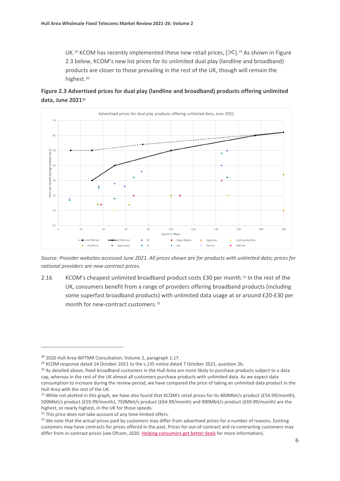UK.<sup>[28](#page-7-0)</sup> KCOM has recently implemented these new retail prices,  $[\frac{1}{2}]$ .<sup>[29](#page-7-1)</sup> As shown in Figure 2.3 below, KCOM's new list prices for its unlimited dual play (landline and broadband) products are closer to those prevailing in the rest of the UK, though will remain the highest.[30](#page-7-2)





*Source: Provider websites accessed June 2021. All prices shown are for products with unlimited data; prices for national providers are new-contract prices.* 

2.16 KCOM's cheapest unlimited broadband product costs £30 per month.<sup>[32](#page-7-4)</sup> In the rest of the UK, consumers benefit from a range of providers offering broadband products (including some superfast broadband products) with unlimited data usage at or around £20-£30 per month for new-contract customers.<sup>[33](#page-7-5)</sup>

<span id="page-7-0"></span><sup>28</sup> 2020 Hull Area WFTMR Consultation, Volume 2, paragraph 1.17.

<span id="page-7-1"></span><sup>&</sup>lt;sup>29</sup> KCOM response dated 14 October 2021 to the s.135 notice dated 7 October 2021, question 2b.

<span id="page-7-2"></span><sup>&</sup>lt;sup>30</sup> As detailed above, fixed broadband customers in the Hull Area are more likely to purchase products subject to a data cap, whereas in the rest of the UK almost all customers purchase products with unlimited data. As we expect data consumption to increase during the review period, we have compared the price of taking an unlimited data product in the Hull Area with the rest of the UK.

<span id="page-7-3"></span><sup>&</sup>lt;sup>31</sup> While not plotted in this graph, we have also found that KCOM's retail prices for its 400Mbit/s product (£54.99/month), 500Mbit/s product (£59.99/month), 750Mbit/s product (£64.99/month) and 900Mbit/s product (£69.99/month) are the highest, or nearly highest, in the UK for those speeds.

<span id="page-7-5"></span><span id="page-7-4"></span> $32$  This price does not take account of any time-limited offers.<br> $33$  We note that the actual prices paid by customers may differ from advertised prices for a number of reasons. Existing customers may have contracts for prices offered in the past. Prices for out-of-contract and re-contracting customers may differ from in-contract prices (see Ofcom, 2020[. Helping consumers get](https://www.ofcom.org.uk/__data/assets/pdf_file/0018/168003/broadband-price-differentials.pdf) better deals for more information).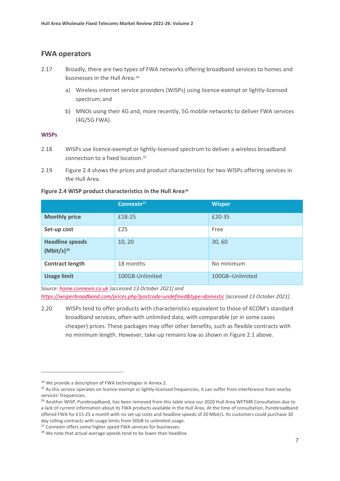### **FWA operators**

- 2.17 Broadly, there are two types of FWA networks offering broadband services to homes and businesses in the Hull Area: [34](#page-8-0)
	- a) Wireless internet service providers (WISPs) using licence-exempt or lightly-licensed spectrum; and
	- b) MNOs using their 4G and, more recently, 5G mobile networks to deliver FWA services (4G/5G FWA).

#### **WISPs**

- 2.18 WISPs use licence-exempt or lightly-licensed spectrum to deliver a wireless broadband connection to a fixed location.[35](#page-8-1)
- 2.19 Figure 2.4 shows the prices and product characteristics for two WISPs offering services in the Hull Area.

| Figure 2.4 WISP product characteristics in the Hull Area <sup>36</sup> |  |  |  |  |  |  |
|------------------------------------------------------------------------|--|--|--|--|--|--|
|------------------------------------------------------------------------|--|--|--|--|--|--|

|                                           | Connexin <sup>37</sup> | <b>Wisper</b>   |
|-------------------------------------------|------------------------|-----------------|
| <b>Monthly price</b>                      | £18-25                 | £20-35          |
| Set-up cost                               | £25                    | Free            |
| <b>Headline speeds</b><br>$(Mbit/s)^{38}$ | 10, 20                 | 30,60           |
| <b>Contract length</b>                    | 18 months              | No minimum      |
| <b>Usage limit</b>                        | 100GB-Unlimited        | 100GB-Unlimited |

*Source: [home.connexin.co.uk](http://home.connexin.co.uk/) [accessed 13 October 2021] and*

*<https://wisperbroadband.com/prices.php?postcode=undefined&type=domestic> [accessed 13 October 2021].* 

2.20 WISPs tend to offer products with characteristics equivalent to those of KCOM's standard broadband services, often with unlimited data, with comparable (or in some cases cheaper) prices. These packages may offer other benefits, such as flexible contracts with no minimum length. However, take-up remains low as shown in Figure 2.1 above.

<span id="page-8-0"></span><sup>&</sup>lt;sup>34</sup> We provide a description of FWA technologies in Annex 2.

<span id="page-8-1"></span><sup>&</sup>lt;sup>35</sup> As this service operates on licence-exempt or lightly-licensed frequencies, it can suffer from interference from nearby services' frequencies.

<span id="page-8-2"></span><sup>&</sup>lt;sup>36</sup> Another WISP, Purebroadband, has been removed from this table since our 2020 Hull Area WFTMR Consultation due to a lack of current information about its FWA products available in the Hull Area. At the time of consultation, Purebroadband offered FWA for £15-25 a month with no set-up costs and headline speeds of 20 Mbit/s. Its customers could purchase 30 day rolling contracts with usage limits from 50GB to unlimited usage.

<span id="page-8-3"></span><sup>&</sup>lt;sup>37</sup> Connexin offers some higher speed FWA services for businesses.

<span id="page-8-4"></span><sup>&</sup>lt;sup>38</sup> We note that actual average speeds tend to be lower than headline.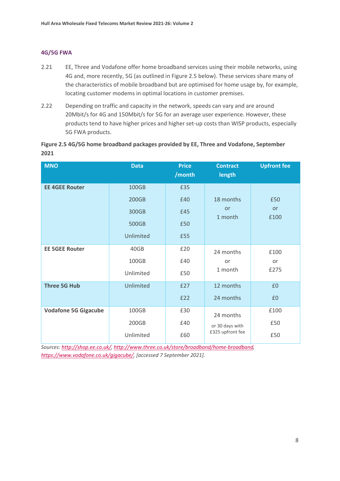#### **4G/5G FWA**

- 2.21 EE, Three and Vodafone offer home broadband services using their mobile networks, using 4G and, more recently, 5G (as outlined in Figure 2.5 below). These services share many of the characteristics of mobile broadband but are optimised for home usage by, for example, locating customer modems in optimal locations in customer premises.
- 2.22 Depending on traffic and capacity in the network, speeds can vary and are around 20Mbit/s for 4G and 150Mbit/s for 5G for an average user experience. However, these products tend to have higher prices and higher set-up costs than WISP products, especially 5G FWA products.

#### **Figure 2.5 4G/5G home broadband packages provided by EE, Three and Vodafone, September 2021**

| <b>MNO</b>                  | <b>Data</b> | <b>Price</b><br>/month | <b>Contract</b><br>length | <b>Upfront fee</b> |
|-----------------------------|-------------|------------------------|---------------------------|--------------------|
| <b>EE 4GEE Router</b>       | 100GB       | £35                    |                           |                    |
|                             | 200GB       | £40                    | 18 months                 | £50                |
|                             | 300GB       | £45                    | or<br>1 month             | <b>or</b><br>£100  |
|                             | 500GB       | £50                    |                           |                    |
|                             | Unlimited   | £55                    |                           |                    |
| <b>EE 5GEE Router</b>       | 40GB        | £20                    | 24 months                 | £100               |
|                             | 100GB       | £40                    | or                        | or                 |
|                             | Unlimited   | £50                    | 1 month                   | £275               |
| <b>Three 5G Hub</b>         | Unlimited   | £27                    | 12 months                 | £0                 |
|                             |             | £22                    | 24 months                 | £0                 |
| <b>Vodafone 5G Gigacube</b> | 100GB       | £30                    | 24 months                 | £100               |
|                             | 200GB       | £40                    | or 30 days with           | £50                |
|                             | Unlimited   | £60                    | £325 upfront fee          | £50                |

*Sources: [http://shop.ee.co.uk/,](http://shop.ee.co.uk/) [http://www.three.co.uk/store/broadband/home-broadband,](http://www.three.co.uk/store/broadband/home-broadband) [https://www.vodafone.co.uk/gigacube/,](https://www.vodafone.co.uk/gigacube/) [accessed 7 September 2021].*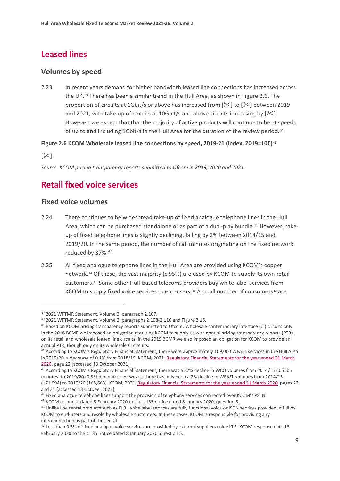# **Leased lines**

## **Volumes by speed**

2.23 In recent years demand for higher bandwidth leased line connections has increased across the UK.[39](#page-10-0) There has been a similar trend in the Hull Area, as shown in Figure 2.6. The proportion of circuits at 1Gbit/s or above has increased from  $[\frac{1}{12}]$  to  $[\frac{1}{12}]$  between 2019 and 2021, with take-up of circuits at 10Gbit/s and above circuits increasing by  $[\mathcal{K}].$ However, we expect that that the majority of active products will continue to be at speeds of up to and including 1Gbit/s in the Hull Area for the duration of the review period.<sup>[40](#page-10-1)</sup>

**Figure 2.6 KCOM Wholesale leased line connections by speed, 2019-21 (index, 2019=100)[41](#page-10-2)**

 $[\times]$ 

*Source: KCOM pricing transparency reports submitted to Ofcom in 2019, 2020 and 2021.*

# **Retail fixed voice services**

## **Fixed voice volumes**

- 2.24 There continues to be widespread take-up of fixed analogue telephone lines in the Hull Area, which can be purchased standalone or as part of a dual-play bundle.<sup>[42](#page-10-3)</sup> However, takeup of fixed telephone lines is slightly declining, falling by 2% between 2014/15 and 2019/20. In the same period, the number of call minutes originating on the fixed network reduced by 37%.<sup>[43](#page-10-4)</sup>
- 2.25 All fixed analogue telephone lines in the Hull Area are provided using KCOM's copper network.[44](#page-10-5) Of these, the vast majority (c.95%) are used by KCOM to supply its own retail customers.[45](#page-10-6) Some other Hull-based telecoms providers buy white label services from KCOM to supply fixed voice services to end-users.<sup>[46](#page-10-7)</sup> A small number of consumers<sup>[47](#page-10-8)</sup> are

<span id="page-10-3"></span>42 According to KCOM's Regulatory Financial Statement, there were approximately 169,000 WFAEL services in the Hull Area in 2019/20, a decrease of 0.1% from 2018/19. KCOM, 2021. Regulatory Financial Statements for the year ended 31 March 2020, page 22 [accessed 13 October 2021].<br><sup>43</sup> According to KCOM's Regulatory Financial Statement, there was a 37% decline in WCO volumes from 2014/15 (0.52bn

<span id="page-10-0"></span><sup>39</sup> 2021 WFTMR Statement, Volume 2, paragraph 2.107.

<span id="page-10-1"></span><sup>40</sup> 2021 WFTMR Statement, Volume 2, paragraphs 2.108-2.110 and Figure 2.16.

<span id="page-10-2"></span><sup>41</sup> Based on KCOM pricing transparency reports submitted to Ofcom. Wholesale contemporary interface (CI) circuits only. In the 2016 BCMR we imposed an obligation requiring KCOM to supply us with annual pricing transparency reports (PTRs) on its retail and wholesale leased line circuits. In the 2019 BCMR we also imposed an obligation for KCOM to provide an annual PTR, though only on its wholesale CI circuits.

<span id="page-10-4"></span>minutes) to 2019/20 (0.33bn minutes). However, there has only been a 2% decline in WFAEL volumes from 2014/15 (171,994) to 2019/20 (168,663). KCOM, 2021[. Regulatory Financial Statements for the year ended 31 March 2020,](https://www.kcom.com/media/q2enkulp/kcom-ofcom-statements-2020.pdf) pages 22 and 31 [accessed 13 October 2021].

<span id="page-10-6"></span><span id="page-10-5"></span><sup>&</sup>lt;sup>44</sup> Fixed analogue telephone lines support the provision of telephony services connected over KCOM's PSTN.<br><sup>45</sup> KCOM response dated 5 February 2020 to the s.135 notice dated 8 January 2020, question 5.

<span id="page-10-7"></span><sup>46</sup> Unlike line rental products such as KLR, white label services are fully functional voice or ISDN services provided in full by KCOM to end-users and resold by wholesale customers. In these cases, KCOM is responsible for providing any interconnection as part of the rental.

<span id="page-10-8"></span><sup>&</sup>lt;sup>47</sup> Less than 0.5% of fixed analogue voice services are provided by external suppliers using KLR. KCOM response dated 5 February 2020 to the s.135 notice dated 8 January 2020, question 5.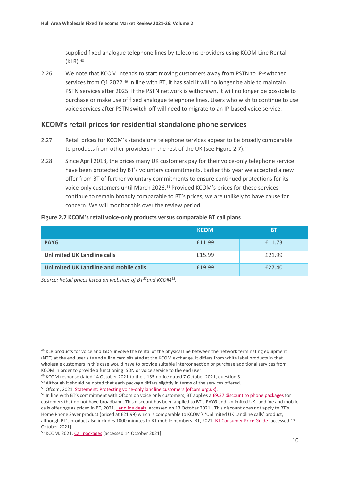supplied fixed analogue telephone lines by telecoms providers using KCOM Line Rental (KLR).[48](#page-11-0)

2.26 We note that KCOM intends to start moving customers away from PSTN to IP-switched services from Q1 2022.<sup>[49](#page-11-1)</sup> In line with BT, it has said it will no longer be able to maintain PSTN services after 2025. If the PSTN network is withdrawn, it will no longer be possible to purchase or make use of fixed analogue telephone lines. Users who wish to continue to use voice services after PSTN switch-off will need to migrate to an IP-based voice service.

#### **KCOM's retail prices for residential standalone phone services**

- 2.27 Retail prices for KCOM's standalone telephone services appear to be broadly comparable to products from other providers in the rest of the UK (see Figure 2.7).<sup>[50](#page-11-2)</sup>
- 2.28 Since April 2018, the prices many UK customers pay for their voice-only telephone service have been protected by BT's voluntary commitments. Earlier this year we accepted a new offer from BT of further voluntary commitments to ensure continued protections for its voice-only customers until March 2026.[51](#page-11-3) Provided KCOM's prices for these services continue to remain broadly comparable to BT's prices, we are unlikely to have cause for concern. We will monitor this over the review period.

| Figure 2.7 KCOM's retail voice-only products versus comparable BT call plans |
|------------------------------------------------------------------------------|
|------------------------------------------------------------------------------|

|                                        | <b>KCOM</b> | <b>BT</b> |
|----------------------------------------|-------------|-----------|
| <b>PAYG</b>                            | £11.99      | £11.73    |
| <b>Unlimited UK Landline calls</b>     | £15.99      | £21.99    |
| Unlimited UK Landline and mobile calls | £19.99      | £27.40    |

*Source: Retail prices listed on websites of BT[52](#page-11-4)and KCOM[53.](#page-11-5)*

<span id="page-11-0"></span><sup>&</sup>lt;sup>48</sup> KLR products for voice and ISDN involve the rental of the physical line between the network terminating equipment (NTE) at the end user site and a line card situated at the KCOM exchange. It differs from white label products in that wholesale customers in this case would have to provide suitable interconnection or purchase additional services from KCOM in order to provide a functioning ISDN or voice service to the end user.

<span id="page-11-1"></span><sup>49</sup> KCOM response dated 14 October 2021 to the s.135 notice dated 7 October 2021, question 3.

<span id="page-11-2"></span><sup>&</sup>lt;sup>50</sup> Although it should be noted that each package differs slightly in terms of the services offered.

<span id="page-11-3"></span><sup>51</sup> Ofcom, 2021[. Statement: Protecting voice-only landline customers \(ofcom.org.uk\).](https://www.ofcom.org.uk/__data/assets/pdf_file/0029/216569/statement-protecting-voice-only-landline-customers.pdf)

<span id="page-11-4"></span> $52$  In line with BT's commitment with Ofcom on voice only customers, BT applies [a £9.37](https://btplc.com/inclusion/MakingCallingEasier/Managingyourbudget/index.htm) discount to phone packages for customers that do not have broadband. This discount has been applied to BT's PAYG and Unlimited UK Landline and mobile calls offerings as priced in BT, 2021. [Landline deals](https://www.bt.com/landline/deals) [accessed on 13 October 2021]. This discount does not apply to BT's Home Phone Saver product (priced at £21.99) which is comparable to KCOM's 'Unlimited UK Landline calls' product, although BT's product also includes 1000 minutes to BT mobile numbers. BT, 2021. [BT Consumer Price Guide](https://www.bt.com/assets/pdf/BT_PhoneTariff_Residential.pdf) [accessed 13 October 2021].

<span id="page-11-5"></span><sup>53</sup> KCOM, 2021[. Call packages](https://www.kcom.com/home/call-packages/) [accessed 14 October 2021].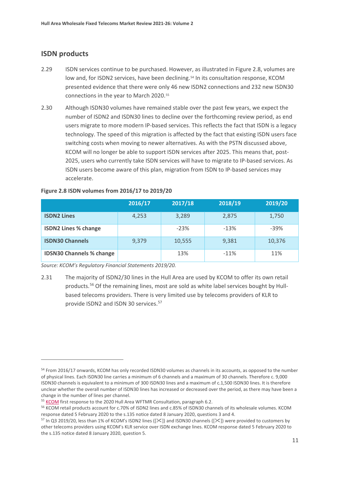## **ISDN products**

- 2.29 ISDN services continue to be purchased. However, as illustrated in Figure 2.8, volumes are low and, for ISDN2 services, have been declining.<sup>[54](#page-12-0)</sup> In its consultation response, KCOM presented evidence that there were only 46 new ISDN2 connections and 232 new ISDN30 connections in the year to March 2020.<sup>[55](#page-12-1)</sup>
- 2.30 Although ISDN30 volumes have remained stable over the past few years, we expect the number of ISDN2 and ISDN30 lines to decline over the forthcoming review period, as end users migrate to more modern IP-based services. This reflects the fact that ISDN is a legacy technology. The speed of this migration is affected by the fact that existing ISDN users face switching costs when moving to newer alternatives. As with the PSTN discussed above, KCOM will no longer be able to support ISDN services after 2025. This means that, post-2025, users who currently take ISDN services will have to migrate to IP-based services. As ISDN users become aware of this plan, migration from ISDN to IP-based services may accelerate.

|                                 | 2016/17 | 2017/18 | 2018/19 | 2019/20 |
|---------------------------------|---------|---------|---------|---------|
| <b>ISDN2 Lines</b>              | 4,253   | 3,289   | 2,875   | 1,750   |
| <b>ISDN2 Lines % change</b>     |         | $-23%$  | $-13%$  | $-39%$  |
| <b>ISDN30 Channels</b>          | 9,379   | 10,555  | 9,381   | 10,376  |
| <b>IDSN30 Channels % change</b> |         | 13%     | $-11%$  | 11%     |

#### **Figure 2.8 ISDN volumes from 2016/17 to 2019/20**

*Source: KCOM's Regulatory Financial Statements 2019/20.*

2.31 The majority of ISDN2/30 lines in the Hull Area are used by KCOM to offer its own retail products.<sup>[56](#page-12-2)</sup> Of the remaining lines, most are sold as white label services bought by Hullbased telecoms providers. There is very limited use by telecoms providers of KLR to provide ISDN2 and ISDN 30 services. [57](#page-12-3)

<span id="page-12-0"></span><sup>&</sup>lt;sup>54</sup> From 2016/17 onwards, KCOM has only recorded ISDN30 volumes as channels in its accounts, as opposed to the number of physical lines. Each ISDN30 line carries a minimum of 6 channels and a maximum of 30 channels. Therefore c. 9,000 ISDN30 channels is equivalent to a minimum of 300 ISDN30 lines and a maximum of c.1,500 ISDN30 lines. It is therefore unclear whether the overall number of ISDN30 lines has increased or decreased over the period, as there may have been a change in the number of lines per channel.

<span id="page-12-1"></span><sup>&</sup>lt;sup>55</sup> [KCOM](https://www.ofcom.org.uk/__data/assets/pdf_file/0025/208726/kcom.pdf) first response to the 2020 Hull Area WFTMR Consultation, paragraph 6.2.

<span id="page-12-2"></span><sup>56</sup> KCOM retail products account for c.70% of ISDN2 lines and c.85% of ISDN30 channels of its wholesale volumes. KCOM response dated 5 February 2020 to the s.135 notice dated 8 January 2020, questions 3 and 4.

<span id="page-12-3"></span><sup>&</sup>lt;sup>57</sup> In Q3 2019/20, less than 1% of KCOM's ISDN2 lines ( $[\&$ ) and ISDN30 channels ( $[\&$ ) were provided to customers by other telecoms providers using KCOM's KLR service over ISDN exchange lines. KCOM response dated 5 February 2020 to the s.135 notice dated 8 January 2020, question 5.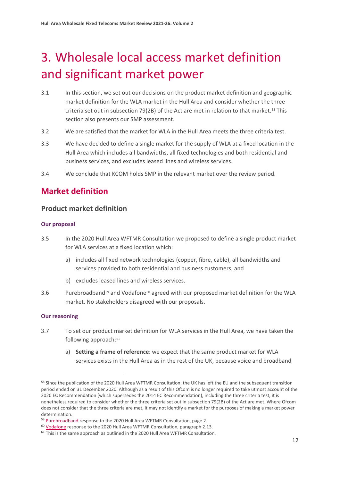# <span id="page-13-0"></span>3. Wholesale local access market definition and significant market power

- 3.1 In this section, we set out our decisions on the product market definition and geographic market definition for the WLA market in the Hull Area and consider whether the three criteria set out in subsection 79(2B) of the Act are met in relation to that market.[58](#page-13-1) This section also presents our SMP assessment.
- 3.2 We are satisfied that the market for WLA in the Hull Area meets the three criteria test.
- 3.3 We have decided to define a single market for the supply of WLA at a fixed location in the Hull Area which includes all bandwidths, all fixed technologies and both residential and business services, and excludes leased lines and wireless services.
- 3.4 We conclude that KCOM holds SMP in the relevant market over the review period.

# **Market definition**

## **Product market definition**

#### **Our proposal**

- 3.5 In the 2020 Hull Area WFTMR Consultation we proposed to define a single product market for WLA services at a fixed location which:
	- a) includes all fixed network technologies (copper, fibre, cable), all bandwidths and services provided to both residential and business customers; and
	- b) excludes leased lines and wireless services.
- 3.6 Purebroadband<sup>[59](#page-13-2)</sup> and Vodafone<sup>[60](#page-13-3)</sup> agreed with our proposed market definition for the WLA market. No stakeholders disagreed with our proposals.

#### **Our reasoning**

- 3.7 To set our product market definition for WLA services in the Hull Area, we have taken the following approach:<sup>[61](#page-13-4)</sup>
	- a) **Setting a frame of reference**: we expect that the same product market for WLA services exists in the Hull Area as in the rest of the UK, because voice and broadband

<span id="page-13-1"></span><sup>&</sup>lt;sup>58</sup> Since the publication of the 2020 Hull Area WFTMR Consultation, the UK has left the EU and the subsequent transition period ended on 31 December 2020. Although as a result of this Ofcom is no longer required to take utmost account of the 2020 EC Recommendation (which supersedes the 2014 EC Recommendation), including the three criteria test, it is nonetheless required to consider whether the three criteria set out in subsection 79(2B) of the Act are met. Where Ofcom does not consider that the three criteria are met, it may not identify a market for the purposes of making a market power determination.

<span id="page-13-2"></span><sup>&</sup>lt;sup>59</sup> [Purebroadband](https://www.ofcom.org.uk/__data/assets/pdf_file/0027/208728/pure-broadband.pdf) response to the 2020 Hull Area WFTMR Consultation, page 2.

<span id="page-13-3"></span><sup>&</sup>lt;sup>60</sup> [Vodafone](https://www.ofcom.org.uk/__data/assets/pdf_file/0028/208729/vodafone.pdf) response to the 2020 Hull Area WFTMR Consultation, paragraph 2.13.

<span id="page-13-4"></span> $61$  This is the same approach as outlined in the 2020 Hull Area WFTMR Consultation.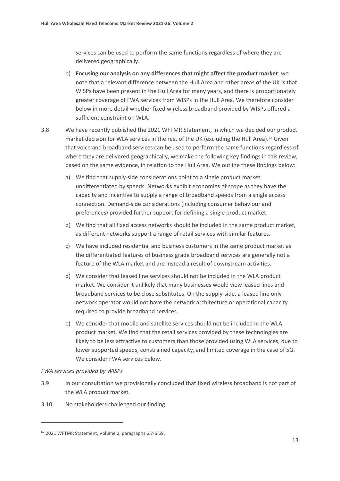services can be used to perform the same functions regardless of where they are delivered geographically.

- b) **Focusing our analysis on any differences that might affect the product market**: we note that a relevant difference between the Hull Area and other areas of the UK is that WISPs have been present in the Hull Area for many years, and there is proportionately greater coverage of FWA services from WISPs in the Hull Area. We therefore consider below in more detail whether fixed wireless broadband provided by WISPs offered a sufficient constraint on WLA.
- 3.8 We have recently published the 2021 WFTMR Statement, in which we decided our product market decision for WLA services in the rest of the UK (excluding the Hull Area).<sup>[62](#page-14-0)</sup> Given that voice and broadband services can be used to perform the same functions regardless of where they are delivered geographically, we make the following key findings in this review, based on the same evidence, in relation to the Hull Area. We outline these findings below:
	- a) We find that supply-side considerations point to a single product market undifferentiated by speeds. Networks exhibit economies of scope as they have the capacity and incentive to supply a range of broadband speeds from a single access connection. Demand-side considerations (including consumer behaviour and preferences) provided further support for defining a single product market.
	- b) We find that all fixed access networks should be included in the same product market, as different networks support a range of retail services with similar features.
	- c) We have included residential and business customers in the same product market as the differentiated features of business grade broadband services are generally not a feature of the WLA market and are instead a result of downstream activities.
	- d) We consider that leased line services should not be included in the WLA product market. We consider it unlikely that many businesses would view leased lines and broadband services to be close substitutes. On the supply-side, a leased line only network operator would not have the network architecture or operational capacity required to provide broadband services.
	- e) We consider that mobile and satellite services should not be included in the WLA product market. We find that the retail services provided by these technologies are likely to be less attractive to customers than those provided using WLA services, due to lower supported speeds, constrained capacity, and limited coverage in the case of 5G. We consider FWA services below.

#### *FWA services provided by WISPs*

- 3.9 In our consultation we provisionally concluded that fixed wireless broadband is not part of the WLA product market.
- 3.10 No stakeholders challenged our finding.

<span id="page-14-0"></span><sup>62</sup> 2021 WFTMR Statement, Volume 2, paragraphs 6.7-6.69.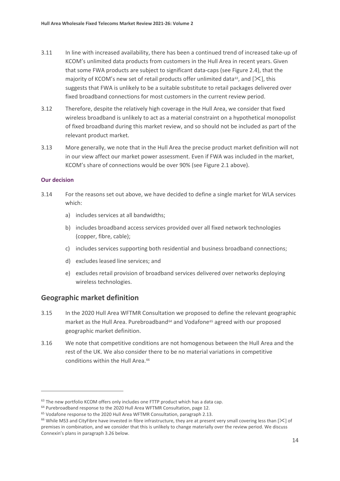- 3.11 In line with increased availability, there has been a continued trend of increased take-up of KCOM's unlimited data products from customers in the Hull Area in recent years. Given that some FWA products are subject to significant data-caps (see Figure 2.4), that the majority of KCOM's new set of retail products offer unlimited data<sup>[63](#page-15-0)</sup>, and  $[\frac{1}{2}$ , this suggests that FWA is unlikely to be a suitable substitute to retail packages delivered over fixed broadband connections for most customers in the current review period.
- 3.12 Therefore, despite the relatively high coverage in the Hull Area, we consider that fixed wireless broadband is unlikely to act as a material constraint on a hypothetical monopolist of fixed broadband during this market review, and so should not be included as part of the relevant product market.
- 3.13 More generally, we note that in the Hull Area the precise product market definition will not in our view affect our market power assessment. Even if FWA was included in the market, KCOM's share of connections would be over 90% (see Figure 2.1 above).

#### **Our decision**

- 3.14 For the reasons set out above, we have decided to define a single market for WLA services which:
	- a) includes services at all bandwidths;
	- b) includes broadband access services provided over all fixed network technologies (copper, fibre, cable);
	- c) includes services supporting both residential and business broadband connections;
	- d) excludes leased line services; and
	- e) excludes retail provision of broadband services delivered over networks deploying wireless technologies.

## **Geographic market definition**

- 3.15 In the 2020 Hull Area WFTMR Consultation we proposed to define the relevant geographic market as the Hull Area. Purebroadband<sup>[64](#page-15-1)</sup> and Vodafone<sup>[65](#page-15-2)</sup> agreed with our proposed geographic market definition.
- 3.16 We note that competitive conditions are not homogenous between the Hull Area and the rest of the UK. We also consider there to be no material variations in competitive conditions within the Hull Area.<sup>[66](#page-15-3)</sup>

<span id="page-15-0"></span><sup>&</sup>lt;sup>63</sup> The new portfolio KCOM offers only includes one FTTP product which has a data cap.

<span id="page-15-1"></span><sup>&</sup>lt;sup>64</sup> Purebroadband response to the 2020 Hull Area WFTMR Consultation, page 12.

<span id="page-15-2"></span><sup>&</sup>lt;sup>65</sup> Vodafone response to the 2020 Hull Area WFTMR Consultation, paragraph 2.13.

<span id="page-15-3"></span><sup>&</sup>lt;sup>66</sup> While MS3 and CityFibre have invested in fibre infrastructure, they are at present very small covering less than  $[\times]$  of premises in combination, and we consider that this is unlikely to change materially over the review period. We discuss Connexin's plans in paragraph 3.26 below.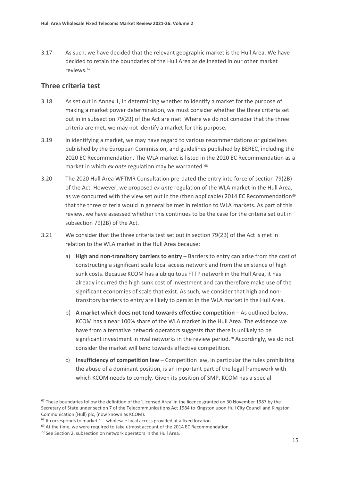3.17 As such, we have decided that the relevant geographic market is the Hull Area. We have decided to retain the boundaries of the Hull Area as delineated in our other market reviews.[67](#page-16-0)

## **Three criteria test**

- 3.18 As set out in Annex 1, in determining whether to identify a market for the purpose of making a market power determination, we must consider whether the three criteria set out in in subsection 79(2B) of the Act are met. Where we do not consider that the three criteria are met, we may not identify a market for this purpose.
- 3.19 In identifying a market, we may have regard to various recommendations or guidelines published by the European Commission, and guidelines published by BEREC, including the 2020 EC Recommendation. The WLA market is listed in the 2020 EC Recommendation as a market in which *ex ante* regulation may be warranted.<sup>[68](#page-16-1)</sup>
- 3.20 The 2020 Hull Area WFTMR Consultation pre-dated the entry into force of section 79(2B) of the Act. However, we proposed *ex ante* regulation of the WLA market in the Hull Area, as we concurred with the view set out in the (then applicable) 2014 EC Recommendation<sup>[69](#page-16-2)</sup> that the three criteria would in general be met in relation to WLA markets. As part of this review, we have assessed whether this continues to be the case for the criteria set out in subsection 79(2B) of the Act.
- 3.21 We consider that the three criteria test set out in section 79(2B) of the Act is met in relation to the WLA market in the Hull Area because:
	- a) **High and non-transitory barriers to entry** Barriers to entry can arise from the cost of constructing a significant scale local access network and from the existence of high sunk costs. Because KCOM has a ubiquitous FTTP network in the Hull Area, it has already incurred the high sunk cost of investment and can therefore make use of the significant economies of scale that exist. As such, we consider that high and nontransitory barriers to entry are likely to persist in the WLA market in the Hull Area.
	- b) **A market which does not tend towards effective competition** As outlined below, KCOM has a near 100% share of the WLA market in the Hull Area. The evidence we have from alternative network operators suggests that there is unlikely to be significant investment in rival networks in the review period.<sup>[70](#page-16-3)</sup> Accordingly, we do not consider the market will tend towards effective competition.
	- c) **Insufficiency of competition law** Competition law, in particular the rules prohibiting the abuse of a dominant position, is an important part of the legal framework with which KCOM needs to comply. Given its position of SMP, KCOM has a special

<span id="page-16-0"></span><sup>&</sup>lt;sup>67</sup> These boundaries follow the definition of the 'Licensed Area' in the licence granted on 30 November 1987 by the Secretary of State under section 7 of the Telecommunications Act 1984 to Kingston upon Hull City Council and Kingston Communication (Hull) plc, (now known as KCOM).

<span id="page-16-1"></span> $68$  It corresponds to market 1 – wholesale local access provided at a fixed location.

<span id="page-16-2"></span><sup>&</sup>lt;sup>69</sup> At the time, we were required to take utmost account of the 2014 EC Recommendation.

<span id="page-16-3"></span> $70$  See Section 2, subsection on network operators in the Hull Area.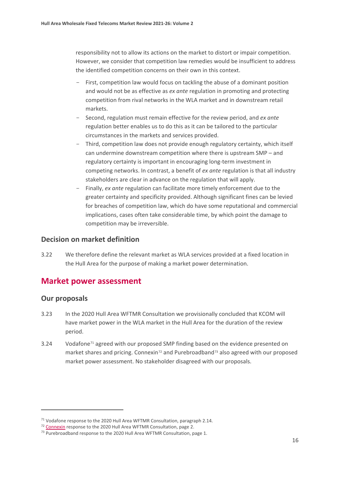responsibility not to allow its actions on the market to distort or impair competition. However, we consider that competition law remedies would be insufficient to address the identified competition concerns on their own in this context.

- First, competition law would focus on tackling the abuse of a dominant position and would not be as effective as *ex ante* regulation in promoting and protecting competition from rival networks in the WLA market and in downstream retail markets.
- Second, regulation must remain effective for the review period, and *ex ante* regulation better enables us to do this as it can be tailored to the particular circumstances in the markets and services provided.
- Third, competition law does not provide enough regulatory certainty, which itself can undermine downstream competition where there is upstream SMP – and regulatory certainty is important in encouraging long-term investment in competing networks. In contrast, a benefit of *ex ante* regulation is that all industry stakeholders are clear in advance on the regulation that will apply.
- Finally, *ex ante* regulation can facilitate more timely enforcement due to the greater certainty and specificity provided. Although significant fines can be levied for breaches of competition law, which do have some reputational and commercial implications, cases often take considerable time, by which point the damage to competition may be irreversible.

#### **Decision on market definition**

3.22 We therefore define the relevant market as WLA services provided at a fixed location in the Hull Area for the purpose of making a market power determination.

# **Market power assessment**

#### **Our proposals**

- 3.23 In the 2020 Hull Area WFTMR Consultation we provisionally concluded that KCOM will have market power in the WLA market in the Hull Area for the duration of the review period.
- 3.24 Vodafone<sup>[71](#page-17-0)</sup> agreed with our proposed SMP finding based on the evidence presented on market shares and pricing. Connexin<sup>[72](#page-17-1)</sup> and Purebroadband<sup>[73](#page-17-2)</sup> also agreed with our proposed market power assessment. No stakeholder disagreed with our proposals.

<span id="page-17-0"></span><sup>&</sup>lt;sup>71</sup> Vodafone response to the 2020 Hull Area WFTMR Consultation, paragraph 2.14.

<span id="page-17-2"></span><span id="page-17-1"></span><sup>&</sup>lt;sup>72</sup> [Connexin](https://www.ofcom.org.uk/__data/assets/pdf_file/0029/213689/connexin.pdf) response to the 2020 Hull Area WFTMR Consultation, page 2.

<sup>&</sup>lt;sup>73</sup> Purebroadband response to the 2020 Hull Area WFTMR Consultation, page 1.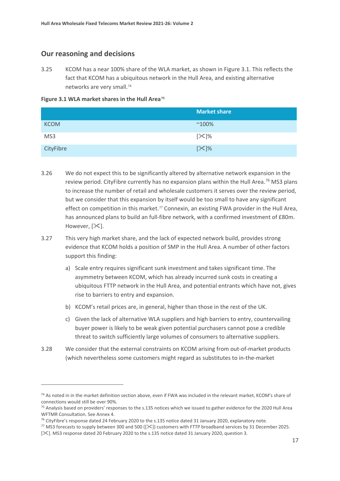## **Our reasoning and decisions**

3.25 KCOM has a near 100% share of the WLA market, as shown in Figure 3.1. This reflects the fact that KCOM has a ubiquitous network in the Hull Area, and existing alternative networks are very small.[74](#page-18-0)

**Figure 3.1 WLA market shares in the Hull Area[75](#page-18-1)** 

|             | <b>Market share</b> |
|-------------|---------------------|
| <b>KCOM</b> | $^{\sim}100\%$      |
| MS3         | [⊱]%                |
| CityFibre   | $[\times]%$         |

- 3.26 We do not expect this to be significantly altered by alternative network expansion in the review period. CityFibre currently has no expansion plans within the Hull Area.<sup>[76](#page-18-2)</sup> MS3 plans to increase the number of retail and wholesale customers it serves over the review period, but we consider that this expansion by itself would be too small to have any significant effect on competition in this market.<sup>[77](#page-18-3)</sup> Connexin, an existing FWA provider in the Hull Area, has announced plans to build an full-fibre network, with a confirmed investment of £80m. However,  $[\times]$ .
- 3.27 This very high market share, and the lack of expected network build, provides strong evidence that KCOM holds a position of SMP in the Hull Area. A number of other factors support this finding:
	- a) Scale entry requires significant sunk investment and takes significant time. The asymmetry between KCOM, which has already incurred sunk costs in creating a ubiquitous FTTP network in the Hull Area, and potential entrants which have not, gives rise to barriers to entry and expansion.
	- b) KCOM's retail prices are, in general, higher than those in the rest of the UK.
	- c) Given the lack of alternative WLA suppliers and high barriers to entry, countervailing buyer power is likely to be weak given potential purchasers cannot pose a credible threat to switch sufficiently large volumes of consumers to alternative suppliers.
- 3.28 We consider that the external constraints on KCOM arising from out-of-market products (which nevertheless some customers might regard as substitutes to in-the-market

<span id="page-18-0"></span><sup>&</sup>lt;sup>74</sup> As noted in in the market definition section above, even if FWA was included in the relevant market, KCOM's share of connections would still be over 90%.

<span id="page-18-1"></span><sup>&</sup>lt;sup>75</sup> Analysis based on providers' responses to the s.135 notices which we issued to gather evidence for the 2020 Hull Area WFTMR Consultation. See Annex 4.

<span id="page-18-2"></span><sup>&</sup>lt;sup>76</sup> CityFibre's response dated 24 February 2020 to the s.135 notice dated 31 January 2020, explanatory note.

<span id="page-18-3"></span><sup>&</sup>lt;sup>77</sup> MS3 forecasts to supply between 300 and 500 ( $[\&$ ) customers with FTTP broadband services by 31 December 2025.

<sup>[</sup> $\ge$ ]. MS3 response dated 20 February 2020 to the s.135 notice dated 31 January 2020, question 3.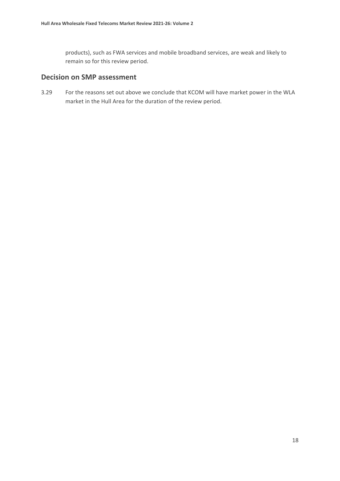products), such as FWA services and mobile broadband services, are weak and likely to remain so for this review period.

## **Decision on SMP assessment**

3.29 For the reasons set out above we conclude that KCOM will have market power in the WLA market in the Hull Area for the duration of the review period.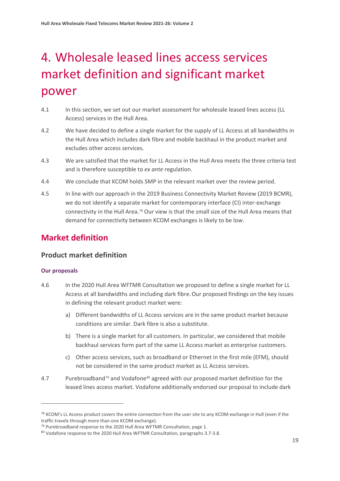# <span id="page-20-0"></span>4. Wholesale leased lines access services market definition and significant market power

- 4.1 In this section, we set out our market assessment for wholesale leased lines access (LL Access) services in the Hull Area.
- 4.2 We have decided to define a single market for the supply of LL Access at all bandwidths in the Hull Area which includes dark fibre and mobile backhaul in the product market and excludes other access services.
- 4.3 We are satisfied that the market for LL Access in the Hull Area meets the three criteria test and is therefore susceptible to *ex ante* regulation.
- 4.4 We conclude that KCOM holds SMP in the relevant market over the review period.
- 4.5 In line with our approach in the 2019 Business Connectivity Market Review (2019 BCMR), we do not identify a separate market for contemporary interface (CI) inter-exchange connectivity in the Hull Area.[78](#page-20-1) Our view is that the small size of the Hull Area means that demand for connectivity between KCOM exchanges is likely to be low.

# **Market definition**

## **Product market definition**

#### **Our proposals**

- 4.6 In the 2020 Hull Area WFTMR Consultation we proposed to define a single market for LL Access at all bandwidths and including dark fibre.Our proposed findings on the key issues in defining the relevant product market were:
	- a) Different bandwidths of LL Access services are in the same product market because conditions are similar. Dark fibre is also a substitute.
	- b) There is a single market for all customers. In particular, we considered that mobile backhaul services form part of the same LL Access market as enterprise customers.
	- c) Other access services, such as broadband or Ethernet in the first mile (EFM), should not be considered in the same product market as LL Access services.
- 4.7 Purebroadband<sup>[79](#page-20-2)</sup> and Vodafone<sup>[80](#page-20-3)</sup> agreed with our proposed market definition for the leased lines access market. Vodafone additionally endorsed our proposal to include dark

<span id="page-20-1"></span><sup>&</sup>lt;sup>78</sup> KCOM's LL Access product covers the entire connection from the user site to any KCOM exchange in Hull (even if the traffic travels through more than one KCOM exchange).

<span id="page-20-3"></span><span id="page-20-2"></span><sup>&</sup>lt;sup>79</sup> Purebroadband response to the 2020 Hull Area WFTMR Consultation, page 1.

<sup>80</sup> Vodafone response to the 2020 Hull Area WFTMR Consultation, paragraphs 3.7-3.8.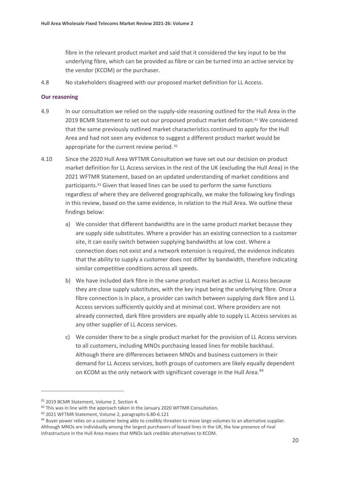fibre in the relevant product market and said that it considered the key input to be the underlying fibre, which can be provided as fibre or can be turned into an active service by the vendor (KCOM) or the purchaser.

4.8 No stakeholders disagreed with our proposed market definition for LL Access.

#### **Our reasoning**

- 4.9 In our consultation we relied on the supply-side reasoning outlined for the Hull Area in the 2019 BCMR Statement to set out our proposed product market definition.<sup>[81](#page-21-0)</sup> We considered that the same previously outlined market characteristics continued to apply for the Hull Area and had not seen any evidence to suggest a different product market would be appropriate for the current review period. [82](#page-21-1)
- 4.10 Since the 2020 Hull Area WFTMR Consultation we have set out our decision on product market definition for LL Access services in the rest of the UK (excluding the Hull Area) in the 2021 WFTMR Statement, based on an updated understanding of market conditions and participants.[83](#page-21-2) Given that leased lines can be used to perform the same functions regardless of where they are delivered geographically, we make the following key findings in this review, based on the same evidence, in relation to the Hull Area. We outline these findings below:
	- a) We consider that different bandwidths are in the same product market because they are supply side substitutes. Where a provider has an existing connection to a customer site, it can easily switch between supplying bandwidths at low cost. Where a connection does not exist and a network extension is required, the evidence indicates that the ability to supply a customer does not differ by bandwidth, therefore indicating similar competitive conditions across all speeds.
	- b) We have included dark fibre in the same product market as active LL Access because they are close supply substitutes, with the key input being the underlying fibre. Once a fibre connection is in place, a provider can switch between supplying dark fibre and LL Access services sufficiently quickly and at minimal cost. Where providers are not already connected, dark fibre providers are equally able to supply LL Access services as any other supplier of LL Access services.
	- c) We consider there to be a single product market for the provision of LL Access services to all customers, including MNOs purchasing leased lines for mobile backhaul. Although there are differences between MNOs and business customers in their demand for LL Access services, both groups of customers are likely equally dependent on KCOM as the only network with significant coverage in the Hull Area.<sup>84</sup>

<span id="page-21-0"></span><sup>81 2019</sup> BCMR Statement, Volume 2, Section 4.

<span id="page-21-1"></span><sup>82</sup> This was in line with the approach taken in the January 2020 WFTMR Consultation.

<span id="page-21-2"></span><sup>83</sup> 2021 WFTMR Statement, Volume 2, paragraphs 6.80-6.121

<span id="page-21-3"></span><sup>84</sup> Buyer power relies on a customer being able to credibly threaten to move large volumes to an alternative supplier. Although MNOs are individually among the largest purchasers of leased lines in the UK, the low presence of rival infrastructure in the Hull Area means that MNOs lack credible alternatives to KCOM.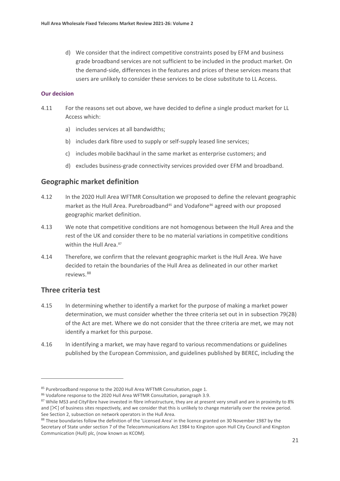d) We consider that the indirect competitive constraints posed by EFM and business grade broadband services are not sufficient to be included in the product market. On the demand-side, differences in the features and prices of these services means that users are unlikely to consider these services to be close substitute to LL Access.

#### **Our decision**

- 4.11 For the reasons set out above, we have decided to define a single product market for LL Access which:
	- a) includes services at all bandwidths;
	- b) includes dark fibre used to supply or self-supply leased line services;
	- c) includes mobile backhaul in the same market as enterprise customers; and
	- d) excludes business-grade connectivity services provided over EFM and broadband.

#### **Geographic market definition**

- 4.12 In the 2020 Hull Area WFTMR Consultation we proposed to define the relevant geographic market as the Hull Area. Purebroadband<sup>[85](#page-22-0)</sup> and Vodafone<sup>[86](#page-22-1)</sup> agreed with our proposed geographic market definition.
- 4.13 We note that competitive conditions are not homogenous between the Hull Area and the rest of the UK and consider there to be no material variations in competitive conditions within the Hull Area.<sup>[87](#page-22-2)</sup>
- 4.14 Therefore, we confirm that the relevant geographic market is the Hull Area. We have decided to retain the boundaries of the Hull Area as delineated in our other market reviews.<sup>[88](#page-22-3)</sup>

#### **Three criteria test**

- 4.15 In determining whether to identify a market for the purpose of making a market power determination, we must consider whether the three criteria set out in in subsection 79(2B) of the Act are met. Where we do not consider that the three criteria are met, we may not identify a market for this purpose.
- 4.16 In identifying a market, we may have regard to various recommendations or guidelines published by the European Commission, and guidelines published by BEREC, including the

<span id="page-22-0"></span><sup>&</sup>lt;sup>85</sup> Purebroadband response to the 2020 Hull Area WFTMR Consultation, page 1.

<span id="page-22-1"></span><sup>86</sup> Vodafone response to the 2020 Hull Area WFTMR Consultation, paragraph 3.9.

<span id="page-22-2"></span><sup>87</sup> While MS3 and CityFibre have invested in fibre infrastructure, they are at present very small and are in proximity to 8% and  $[\times]$  of business sites respectively, and we consider that this is unlikely to change materially over the review period. See Section 2, subsection on network operators in the Hull Area.

<span id="page-22-3"></span><sup>88</sup> These boundaries follow the definition of the 'Licensed Area' in the licence granted on 30 November 1987 by the Secretary of State under section 7 of the Telecommunications Act 1984 to Kingston upon Hull City Council and Kingston Communication (Hull) plc, (now known as KCOM).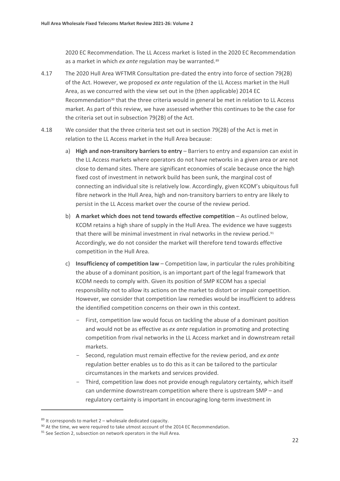2020 EC Recommendation. The LL Access market is listed in the 2020 EC Recommendation as a market in which *ex ante* regulation may be warranted.<sup>[89](#page-23-0)</sup>

- 4.17 The 2020 Hull Area WFTMR Consultation pre-dated the entry into force of section 79(2B) of the Act. However, we proposed *ex ante* regulation of the LL Access market in the Hull Area, as we concurred with the view set out in the (then applicable) 2014 EC Recommendation<sup>[90](#page-23-1)</sup> that the three criteria would in general be met in relation to LL Access market. As part of this review, we have assessed whether this continues to be the case for the criteria set out in subsection 79(2B) of the Act.
- 4.18 We consider that the three criteria test set out in section 79(2B) of the Act is met in relation to the LL Access market in the Hull Area because:
	- a) **High and non-transitory barriers to entry** Barriers to entry and expansion can exist in the LL Access markets where operators do not have networks in a given area or are not close to demand sites. There are significant economies of scale because once the high fixed cost of investment in network build has been sunk, the marginal cost of connecting an individual site is relatively low. Accordingly, given KCOM's ubiquitous full fibre network in the Hull Area, high and non-transitory barriers to entry are likely to persist in the LL Access market over the course of the review period.
	- b) **A market which does not tend towards effective competition** As outlined below, KCOM retains a high share of supply in the Hull Area. The evidence we have suggests that there will be minimal investment in rival networks in the review period.<sup>[91](#page-23-2)</sup> Accordingly, we do not consider the market will therefore tend towards effective competition in the Hull Area.
	- c) **Insufficiency of competition law** Competition law, in particular the rules prohibiting the abuse of a dominant position, is an important part of the legal framework that KCOM needs to comply with. Given its position of SMP KCOM has a special responsibility not to allow its actions on the market to distort or impair competition. However, we consider that competition law remedies would be insufficient to address the identified competition concerns on their own in this context.
		- First, competition law would focus on tackling the abuse of a dominant position and would not be as effective as *ex ante* regulation in promoting and protecting competition from rival networks in the LL Access market and in downstream retail markets.
		- Second, regulation must remain effective for the review period, and *ex ante* regulation better enables us to do this as it can be tailored to the particular circumstances in the markets and services provided.
		- Third, competition law does not provide enough regulatory certainty, which itself can undermine downstream competition where there is upstream SMP – and regulatory certainty is important in encouraging long-term investment in

<span id="page-23-0"></span> $89$  It corresponds to market 2 – wholesale dedicated capacity.

<span id="page-23-1"></span><sup>&</sup>lt;sup>90</sup> At the time, we were required to take utmost account of the 2014 EC Recommendation.

<span id="page-23-2"></span> $91$  See Section 2, subsection on network operators in the Hull Area.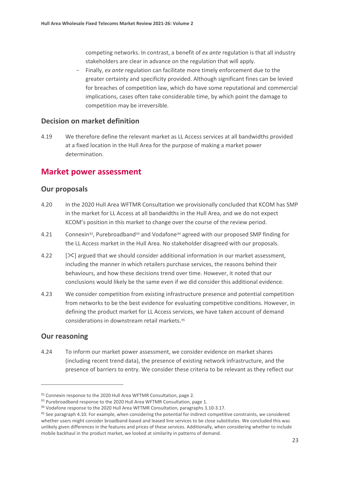competing networks. In contrast, a benefit of *ex ante* regulation is that all industry stakeholders are clear in advance on the regulation that will apply.

- Finally, *ex ante* regulation can facilitate more timely enforcement due to the greater certainty and specificity provided. Although significant fines can be levied for breaches of competition law, which do have some reputational and commercial implications, cases often take considerable time, by which point the damage to competition may be irreversible.

#### **Decision on market definition**

4.19 We therefore define the relevant market as LL Access services at all bandwidths provided at a fixed location in the Hull Area for the purpose of making a market power determination.

## **Market power assessment**

#### **Our proposals**

- 4.20 In the 2020 Hull Area WFTMR Consultation we provisionally concluded that KCOM has SMP in the market for LL Access at all bandwidths in the Hull Area, and we do not expect KCOM's position in this market to change over the course of the review period.
- 4.21 Connexin<sup>92</sup>, Purebroadband<sup>[93](#page-24-1)</sup> and Vodafone<sup>[94](#page-24-2)</sup> agreed with our proposed SMP finding for the LL Access market in the Hull Area. No stakeholder disagreed with our proposals.
- 4.22 [] argued that we should consider additional information in our market assessment, including the manner in which retailers purchase services, the reasons behind their behaviours, and how these decisions trend over time. However, it noted that our conclusions would likely be the same even if we did consider this additional evidence.
- 4.23 We consider competition from existing infrastructure presence and potential competition from networks to be the best evidence for evaluating competitive conditions. However, in defining the product market for LL Access services, we have taken account of demand considerations in downstream retail markets.[95](#page-24-3)

## **Our reasoning**

4.24 To inform our market power assessment, we consider evidence on market shares (including recent trend data), the presence of existing network infrastructure, and the presence of barriers to entry. We consider these criteria to be relevant as they reflect our

<span id="page-24-0"></span><sup>92</sup> Connexin response to the 2020 Hull Area WFTMR Consultation, page 2.

<span id="page-24-1"></span><sup>93</sup> Purebroadband response to the 2020 Hull Area WFTMR Consultation, page 1.

<span id="page-24-2"></span><sup>&</sup>lt;sup>94</sup> Vodafone response to the 2020 Hull Area WFTMR Consultation, paragraphs 3.10-3.17.

<span id="page-24-3"></span><sup>&</sup>lt;sup>95</sup> See paragraph 4.10. For example, when considering the potential for indirect competitive constraints, we considered whether users might consider broadband-based and leased line services to be close substitutes. We concluded this was unlikely given differences in the features and prices of these services. Additionally, when considering whether to include mobile backhaul in the product market, we looked at similarity in patterns of demand.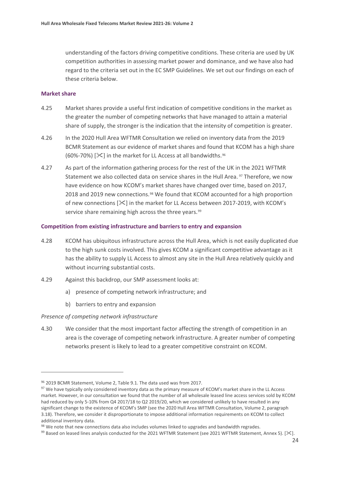understanding of the factors driving competitive conditions. These criteria are used by UK competition authorities in assessing market power and dominance, and we have also had regard to the criteria set out in the EC SMP Guidelines. We set out our findings on each of these criteria below.

#### **Market share**

- 4.25 Market shares provide a useful first indication of competitive conditions in the market as the greater the number of competing networks that have managed to attain a material share of supply, the stronger is the indication that the intensity of competition is greater.
- 4.26 In the 2020 Hull Area WFTMR Consultation we relied on inventory data from the 2019 BCMR Statement as our evidence of market shares and found that KCOM has a high share (60%-70%)  $[\mathcal{K}]$  in the market for LL Access at all bandwidths.<sup>[96](#page-25-0)</sup>
- 4.27 As part of the information gathering process for the rest of the UK in the 2021 WFTMR Statement we also collected data on service shares in the Hull Area. <sup>[97](#page-25-1)</sup> Therefore, we now have evidence on how KCOM's market shares have changed over time, based on 2017, 2018 and 2019 new connections.[98](#page-25-2) We found that KCOM accounted for a high proportion of new connections  $[\frac{1}{2}$  in the market for LL Access between 2017-2019, with KCOM's service share remaining high across the three years.<sup>[99](#page-25-3)</sup>

#### **Competition from existing infrastructure and barriers to entry and expansion**

- 4.28 KCOM has ubiquitous infrastructure across the Hull Area, which is not easily duplicated due to the high sunk costs involved. This gives KCOM a significant competitive advantage as it has the ability to supply LL Access to almost any site in the Hull Area relatively quickly and without incurring substantial costs.
- 4.29 Against this backdrop, our SMP assessment looks at:
	- a) presence of competing network infrastructure; and
	- b) barriers to entry and expansion

#### *Presence of competing network infrastructure*

4.30 We consider that the most important factor affecting the strength of competition in an area is the coverage of competing network infrastructure. A greater number of competing networks present is likely to lead to a greater competitive constraint on KCOM.

<span id="page-25-0"></span><sup>96</sup> 2019 BCMR Statement, Volume 2, Table 9.1. The data used was from 2017.

<span id="page-25-1"></span><sup>&</sup>lt;sup>97</sup> We have typically only considered inventory data as the primary measure of KCOM's market share in the LL Access market. However, in our consultation we found that the number of all wholesale leased line access services sold by KCOM had reduced by only 5-10% from Q4 2017/18 to Q2 2019/20, which we considered unlikely to have resulted in any significant change to the existence of KCOM's SMP (see the 2020 Hull Area WFTMR Consultation, Volume 2, paragraph 3.18). Therefore, we consider it disproportionate to impose additional information requirements on KCOM to collect additional inventory data.

<span id="page-25-3"></span><span id="page-25-2"></span><sup>&</sup>lt;sup>98</sup> We note that new connections data also includes volumes linked to upgrades and bandwidth regrades.<br><sup>99</sup> Based on leased lines analysis conducted for the 2021 WFTMR Statement (see 2021 WFTMR Statement, Annex 5). [ $\geq$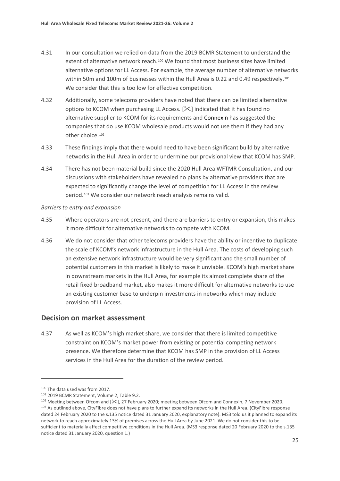- 4.31 In our consultation we relied on data from the 2019 BCMR Statement to understand the extent of alternative network reach.[100](#page-26-0) We found that most business sites have limited alternative options for LL Access. For example, the average number of alternative networks within 50m and 100m of businesses within the Hull Area is 0.22 and 0.49 respectively.<sup>[101](#page-26-1)</sup> We consider that this is too low for effective competition.
- 4.32 Additionally, some telecoms providers have noted that there can be limited alternative options to KCOM when purchasing LL Access.  $[\frac{1}{2}]$  indicated that it has found no alternative supplier to KCOM for its requirements and Connexin has suggested the companies that do use KCOM wholesale products would not use them if they had any other choice.<sup>[102](#page-26-2)</sup>
- 4.33 These findings imply that there would need to have been significant build by alternative networks in the Hull Area in order to undermine our provisional view that KCOM has SMP.
- 4.34 There has not been material build since the 2020 Hull Area WFTMR Consultation, and our discussions with stakeholders have revealed no plans by alternative providers that are expected to significantly change the level of competition for LL Access in the review period.[103](#page-26-3) We consider our network reach analysis remains valid.

#### *Barriers to entry and expansion*

- 4.35 Where operators are not present, and there are barriers to entry or expansion, this makes it more difficult for alternative networks to compete with KCOM.
- 4.36 We do not consider that other telecoms providers have the ability or incentive to duplicate the scale of KCOM's network infrastructure in the Hull Area. The costs of developing such an extensive network infrastructure would be very significant and the small number of potential customers in this market is likely to make it unviable. KCOM's high market share in downstream markets in the Hull Area, for example its almost complete share of the retail fixed broadband market, also makes it more difficult for alternative networks to use an existing customer base to underpin investments in networks which may include provision of LL Access.

#### **Decision on market assessment**

4.37 As well as KCOM's high market share, we consider that there is limited competitive constraint on KCOM's market power from existing or potential competing network presence. We therefore determine that KCOM has SMP in the provision of LL Access services in the Hull Area for the duration of the review period.

<span id="page-26-0"></span><sup>100</sup> The data used was from 2017.

<span id="page-26-1"></span><sup>101</sup> 2019 BCMR Statement, Volume 2, Table 9.2.

<span id="page-26-3"></span><span id="page-26-2"></span><sup>&</sup>lt;sup>102</sup> Meeting between Ofcom and  $[\frac{1}{2}]$ , 27 February 2020; meeting between Ofcom and Connexin, 7 November 2020.<br><sup>103</sup> As outlined above, CityFibre does not have plans to further expand its networks in the Hull Area. (Ci dated 24 February 2020 to the s.135 notice dated 31 January 2020, explanatory note). MS3 told us it planned to expand its network to reach approximately 13% of premises across the Hull Area by June 2021. We do not consider this to be sufficient to materially affect competitive conditions in the Hull Area. (MS3 response dated 20 February 2020 to the s.135 notice dated 31 January 2020, question 1.)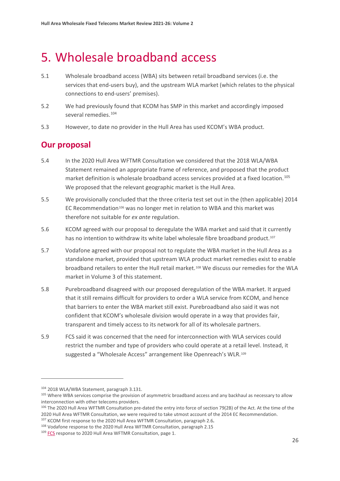# <span id="page-27-0"></span>5. Wholesale broadband access

- 5.1 Wholesale broadband access (WBA) sits between retail broadband services (i.e. the services that end-users buy), and the upstream WLA market (which relates to the physical connections to end-users' premises).
- 5.2 We had previously found that KCOM has SMP in this market and accordingly imposed several remedies.<sup>[104](#page-27-1)</sup>
- 5.3 However, to date no provider in the Hull Area has used KCOM's WBA product.

# **Our proposal**

- 5.4 In the 2020 Hull Area WFTMR Consultation we considered that the 2018 WLA/WBA Statement remained an appropriate frame of reference, and proposed that the product market definition is wholesale broadband access services provided at a fixed location. [105](#page-27-2) We proposed that the relevant geographic market is the Hull Area.
- 5.5 We provisionally concluded that the three criteria test set out in the (then applicable) 2014 EC Recommendation<sup>[106](#page-27-3)</sup> was no longer met in relation to WBA and this market was therefore not suitable for *ex ante* regulation.
- 5.6 KCOM agreed with our proposal to deregulate the WBA market and said that it currently has no intention to withdraw its white label wholesale fibre broadband product.<sup>[107](#page-27-4)</sup>
- 5.7 Vodafone agreed with our proposal not to regulate the WBA market in the Hull Area as a standalone market, provided that upstream WLA product market remedies exist to enable broadband retailers to enter the Hull retail market.[108](#page-27-5) We discuss our remedies for the WLA market in Volume 3 of this statement.
- 5.8 Purebroadband disagreed with our proposed deregulation of the WBA market. It argued that it still remains difficult for providers to order a WLA service from KCOM, and hence that barriers to enter the WBA market still exist. Purebroadband also said it was not confident that KCOM's wholesale division would operate in a way that provides fair, transparent and timely access to its network for all of its wholesale partners.
- 5.9 FCS said it was concerned that the need for interconnection with WLA services could restrict the number and type of providers who could operate at a retail level. Instead, it suggested a "Wholesale Access" arrangement like Openreach's WLR.<sup>[109](#page-27-6)</sup>

<span id="page-27-1"></span><sup>104 2018</sup> WLA/WBA Statement, paragraph 3.131.

<span id="page-27-2"></span><sup>&</sup>lt;sup>105</sup> Where WBA services comprise the provision of asymmetric broadband access and any backhaul as necessary to allow interconnection with other telecoms providers.

<span id="page-27-3"></span><sup>106</sup> The 2020 Hull Area WFTMR Consultation pre-dated the entry into force of section 79(2B) of the Act. At the time of the <sup>2020</sup> Hull Area WFTMR Consultation, we were required to take utmost account of the 2014 EC Recommendation. 107 KCOM first response to the 2020 Hull Area WFTMR Consultation, paragraph 2.6**.**

<span id="page-27-4"></span><sup>&</sup>lt;sup>108</sup> Vodafone response to the 2020 Hull Area WFTMR Consultation, paragraph 2.15

<span id="page-27-6"></span><span id="page-27-5"></span><sup>&</sup>lt;sup>109</sup> [FCS](https://www.ofcom.org.uk/__data/assets/pdf_file/0023/208724/fcs.pdf) response to 2020 Hull Area WFTMR Consultation, page 1.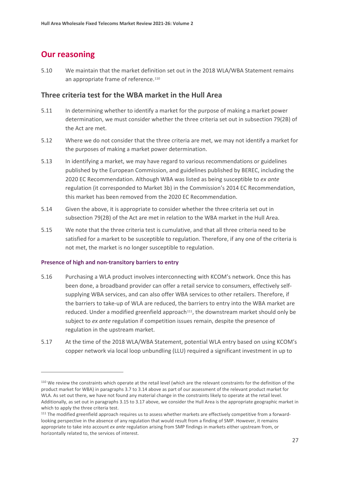# **Our reasoning**

5.10 We maintain that the market definition set out in the 2018 WLA/WBA Statement remains an appropriate frame of reference.<sup>[110](#page-28-0)</sup>

## **Three criteria test for the WBA market in the Hull Area**

- 5.11 In determining whether to identify a market for the purpose of making a market power determination, we must consider whether the three criteria set out in subsection 79(2B) of the Act are met.
- 5.12 Where we do not consider that the three criteria are met, we may not identify a market for the purposes of making a market power determination.
- 5.13 In identifying a market, we may have regard to various recommendations or guidelines published by the European Commission, and guidelines published by BEREC, including the 2020 EC Recommendation. Although WBA was listed as being susceptible to *ex ante* regulation (it corresponded to Market 3b) in the Commission's 2014 EC Recommendation, this market has been removed from the 2020 EC Recommendation.
- 5.14 Given the above, it is appropriate to consider whether the three criteria set out in subsection 79(2B) of the Act are met in relation to the WBA market in the Hull Area.
- 5.15 We note that the three criteria test is cumulative, and that all three criteria need to be satisfied for a market to be susceptible to regulation. Therefore, if any one of the criteria is not met, the market is no longer susceptible to regulation.

#### **Presence of high and non-transitory barriers to entry**

- 5.16 Purchasing a WLA product involves interconnecting with KCOM's network. Once this has been done, a broadband provider can offer a retail service to consumers, effectively selfsupplying WBA services, and can also offer WBA services to other retailers. Therefore, if the barriers to take-up of WLA are reduced, the barriers to entry into the WBA market are reduced. Under a modified greenfield approach $111$ , the downstream market should only be subject to *ex ante* regulation if competition issues remain, despite the presence of regulation in the upstream market.
- 5.17 At the time of the 2018 WLA/WBA Statement, potential WLA entry based on using KCOM's copper network via local loop unbundling (LLU) required a significant investment in up to

<span id="page-28-0"></span><sup>110</sup> We review the constraints which operate at the retail level (which are the relevant constraints for the definition of the product market for WBA) in paragraphs 3.7 to 3.14 above as part of our assessment of the relevant product market for WLA. As set out there, we have not found any material change in the constraints likely to operate at the retail level. Additionally, as set out in paragraphs 3.15 to 3.17 above, we consider the Hull Area is the appropriate geographic market in which to apply the three criteria test.

<span id="page-28-1"></span><sup>111</sup> The modified greenfield approach requires us to assess whether markets are effectively competitive from a forwardlooking perspective in the absence of any regulation that would result from a finding of SMP. However, it remains appropriate to take into account *ex ante* regulation arising from SMP findings in markets either upstream from, or horizontally related to, the services of interest.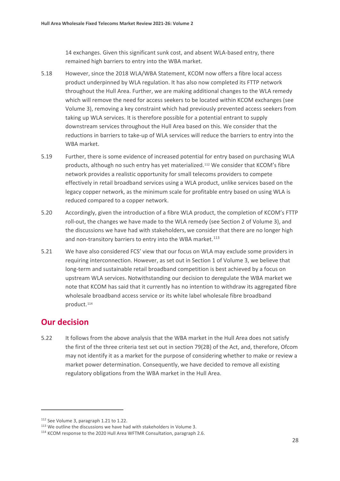14 exchanges. Given this significant sunk cost, and absent WLA-based entry, there remained high barriers to entry into the WBA market.

- 5.18 However, since the 2018 WLA/WBA Statement, KCOM now offers a fibre local access product underpinned by WLA regulation. It has also now completed its FTTP network throughout the Hull Area. Further, we are making additional changes to the WLA remedy which will remove the need for access seekers to be located within KCOM exchanges (see Volume 3), removing a key constraint which had previously prevented access seekers from taking up WLA services. It is therefore possible for a potential entrant to supply downstream services throughout the Hull Area based on this. We consider that the reductions in barriers to take-up of WLA services will reduce the barriers to entry into the WBA market.
- 5.19 Further, there is some evidence of increased potential for entry based on purchasing WLA products, although no such entry has yet materialized.<sup>[112](#page-29-0)</sup> We consider that KCOM's fibre network provides a realistic opportunity for small telecoms providers to compete effectively in retail broadband services using a WLA product, unlike services based on the legacy copper network, as the minimum scale for profitable entry based on using WLA is reduced compared to a copper network.
- 5.20 Accordingly, given the introduction of a fibre WLA product, the completion of KCOM's FTTP roll-out, the changes we have made to the WLA remedy (see Section 2 of Volume 3), and the discussions we have had with stakeholders, we consider that there are no longer high and non-transitory barriers to entry into the WBA market. $113$
- 5.21 We have also considered FCS' view that our focus on WLA may exclude some providers in requiring interconnection. However, as set out in Section 1 of Volume 3, we believe that long-term and sustainable retail broadband competition is best achieved by a focus on upstream WLA services. Notwithstanding our decision to deregulate the WBA market we note that KCOM has said that it currently has no intention to withdraw its aggregated fibre wholesale broadband access service or its white label wholesale fibre broadband product.[114](#page-29-2)

# **Our decision**

5.22 It follows from the above analysis that the WBA market in the Hull Area does not satisfy the first of the three criteria test set out in section 79(2B) of the Act, and, therefore, Ofcom may not identify it as a market for the purpose of considering whether to make or review a market power determination. Consequently, we have decided to remove all existing regulatory obligations from the WBA market in the Hull Area.

<span id="page-29-0"></span><sup>112</sup> See Volume 3, paragraph 1.21 to 1.22.

<span id="page-29-1"></span><sup>&</sup>lt;sup>113</sup> We outline the discussions we have had with stakeholders in Volume 3.

<span id="page-29-2"></span><sup>114</sup> KCOM response to the 2020 Hull Area WFTMR Consultation, paragraph 2.6.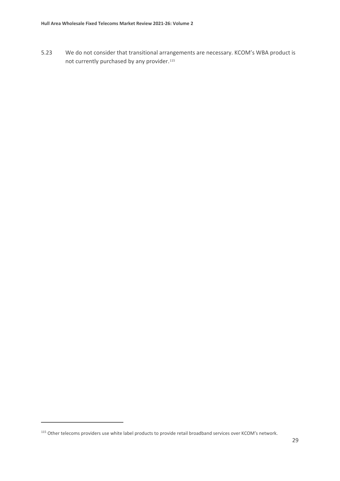5.23 We do not consider that transitional arrangements are necessary. KCOM's WBA product is not currently purchased by any provider.<sup>[115](#page-30-0)</sup>

<span id="page-30-0"></span><sup>115</sup> Other telecoms providers use white label products to provide retail broadband services over KCOM's network.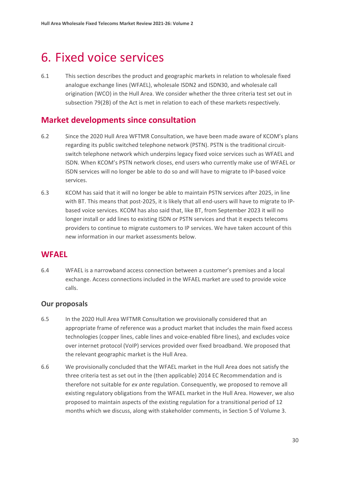# <span id="page-31-0"></span>6. Fixed voice services

6.1 This section describes the product and geographic markets in relation to wholesale fixed analogue exchange lines (WFAEL), wholesale ISDN2 and ISDN30, and wholesale call origination (WCO) in the Hull Area. We consider whether the three criteria test set out in subsection 79(2B) of the Act is met in relation to each of these markets respectively.

# **Market developments since consultation**

- 6.2 Since the 2020 Hull Area WFTMR Consultation, we have been made aware of KCOM's plans regarding its public switched telephone network (PSTN). PSTN is the traditional circuitswitch telephone network which underpins legacy fixed voice services such as WFAEL and ISDN. When KCOM's PSTN network closes, end users who currently make use of WFAEL or ISDN services will no longer be able to do so and will have to migrate to IP-based voice services.
- 6.3 KCOM has said that it will no longer be able to maintain PSTN services after 2025, in line with BT. This means that post-2025, it is likely that all end-users will have to migrate to IPbased voice services. KCOM has also said that, like BT, from September 2023 it will no longer install or add lines to existing ISDN or PSTN services and that it expects telecoms providers to continue to migrate customers to IP services. We have taken account of this new information in our market assessments below.

# **WFAEL**

6.4 WFAEL is a narrowband access connection between a customer's premises and a local exchange. Access connections included in the WFAEL market are used to provide voice calls.

## **Our proposals**

- 6.5 In the 2020 Hull Area WFTMR Consultation we provisionally considered that an appropriate frame of reference was a product market that includes the main fixed access technologies (copper lines, cable lines and voice-enabled fibre lines), and excludes voice over internet protocol (VoIP) services provided over fixed broadband. We proposed that the relevant geographic market is the Hull Area.
- 6.6 We provisionally concluded that the WFAEL market in the Hull Area does not satisfy the three criteria test as set out in the (then applicable) 2014 EC Recommendation and is therefore not suitable for *ex ante* regulation. Consequently, we proposed to remove all existing regulatory obligations from the WFAEL market in the Hull Area. However, we also proposed to maintain aspects of the existing regulation for a transitional period of 12 months which we discuss, along with stakeholder comments, in Section 5 of Volume 3.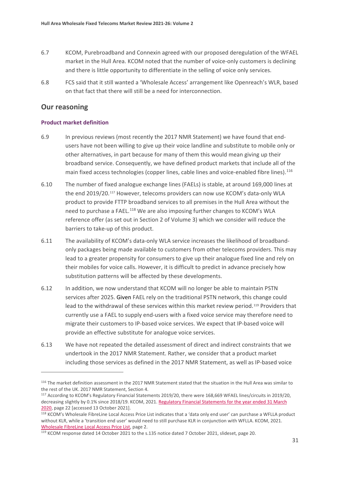- 6.7 KCOM, Purebroadband and Connexin agreed with our proposed deregulation of the WFAEL market in the Hull Area. KCOM noted that the number of voice-only customers is declining and there is little opportunity to differentiate in the selling of voice only services.
- 6.8 FCS said that it still wanted a 'Wholesale Access' arrangement like Openreach's WLR, based on that fact that there will still be a need for interconnection.

### **Our reasoning**

#### **Product market definition**

- 6.9 In previous reviews (most recently the 2017 NMR Statement) we have found that endusers have not been willing to give up their voice landline and substitute to mobile only or other alternatives, in part because for many of them this would mean giving up their broadband service. Consequently, we have defined product markets that include all of the main fixed access technologies (copper lines, cable lines and voice-enabled fibre lines).<sup>[116](#page-32-0)</sup>
- 6.10 The number of fixed analogue exchange lines (FAELs) is stable, at around 169,000 lines at the end 2019/20.[117](#page-32-1) However, telecoms providers can now use KCOM's data-only WLA product to provide FTTP broadband services to all premises in the Hull Area without the need to purchase a FAEL.<sup>[118](#page-32-2)</sup> We are also imposing further changes to KCOM's WLA reference offer (as set out in Section 2 of Volume 3) which we consider will reduce the barriers to take-up of this product.
- 6.11 The availability of KCOM's data-only WLA service increases the likelihood of broadbandonly packages being made available to customers from other telecoms providers. This may lead to a greater propensity for consumers to give up their analogue fixed line and rely on their mobiles for voice calls. However, it is difficult to predict in advance precisely how substitution patterns will be affected by these developments.
- 6.12 In addition, we now understand that KCOM will no longer be able to maintain PSTN services after 2025. Given FAEL rely on the traditional PSTN network, this change could lead to the withdrawal of these services within this market review period.<sup>[119](#page-32-3)</sup> Providers that currently use a FAEL to supply end-users with a fixed voice service may therefore need to migrate their customers to IP-based voice services. We expect that IP-based voice will provide an effective substitute for analogue voice services.
- 6.13 We have not repeated the detailed assessment of direct and indirect constraints that we undertook in the 2017 NMR Statement. Rather, we consider that a product market including those services as defined in the 2017 NMR Statement, as well as IP-based voice

<span id="page-32-0"></span> $116$  The market definition assessment in the 2017 NMR Statement stated that the situation in the Hull Area was similar to the rest of the UK. 2017 NMR Statement, Section 4.

<span id="page-32-1"></span><sup>117</sup> According to KCOM's Regulatory Financial Statements 2019/20, there were 168,669 WFAEL lines/circuits in 2019/20, decreasing slightly by 0.1% since 2018/19. KCOM, 2021. Regulatory Financial Statements for the year ended 31 March

<span id="page-32-2"></span>[<sup>2020,</sup>](https://www.kcom.com/media/q2enkulp/kcom-ofcom-statements-2020.pdf) page 22 [accessed 13 October 2021].<br><sup>118</sup> KCOM's Wholesale FibreLine Local Access Price List indicates that a 'data only end user' can purchase a WFLLA product without KLR, while a 'transition end user' would need to still purchase KLR in conjunction with WFLLA. KCOM, 2021. [Wholesale FibreLine Local Access Price List,](http://pricing.kcomhome.com/media/1573/p13-s27_wholesale_fibreline_local_access.pdf) page 2.<br><sup>119</sup> KCOM response dated 14 October 2021 to the s.135 notice dated 7 October 2021, slideset, page 20.

<span id="page-32-3"></span>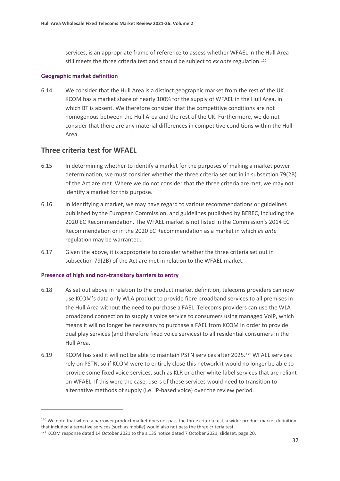services, is an appropriate frame of reference to assess whether WFAEL in the Hull Area still meets the three criteria test and should be subject to *ex ante* regulation.[120](#page-33-0)

#### **Geographic market definition**

6.14 We consider that the Hull Area is a distinct geographic market from the rest of the UK. KCOM has a market share of nearly 100% for the supply of WFAEL in the Hull Area, in which BT is absent. We therefore consider that the competitive conditions are not homogenous between the Hull Area and the rest of the UK. Furthermore, we do not consider that there are any material differences in competitive conditions within the Hull Area.

#### **Three criteria test for WFAEL**

- 6.15 In determining whether to identify a market for the purposes of making a market power determination, we must consider whether the three criteria set out in in subsection 79(2B) of the Act are met. Where we do not consider that the three criteria are met, we may not identify a market for this purpose.
- 6.16 In identifying a market, we may have regard to various recommendations or guidelines published by the European Commission, and guidelines published by BEREC, including the 2020 EC Recommendation. The WFAEL market is not listed in the Commission's 2014 EC Recommendation or in the 2020 EC Recommendation as a market in which *ex ante* regulation may be warranted.
- 6.17 Given the above, it is appropriate to consider whether the three criteria set out in subsection 79(2B) of the Act are met in relation to the WFAEL market.

#### **Presence of high and non-transitory barriers to entry**

- 6.18 As set out above in relation to the product market definition, telecoms providers can now use KCOM's data only WLA product to provide fibre broadband services to all premises in the Hull Area without the need to purchase a FAEL. Telecoms providers can use the WLA broadband connection to supply a voice service to consumers using managed VoIP, which means it will no longer be necessary to purchase a FAEL from KCOM in order to provide dual play services (and therefore fixed voice services) to all residential consumers in the Hull Area.
- 6.19 KCOM has said it will not be able to maintain PSTN services after 2025.[121](#page-33-1) WFAEL services rely on PSTN, so if KCOM were to entirely close this network it would no longer be able to provide some fixed voice services, such as KLR or other white-label services that are reliant on WFAEL. If this were the case, users of these services would need to transition to alternative methods of supply (i.e. IP-based voice) over the review period.

<span id="page-33-0"></span><sup>&</sup>lt;sup>120</sup> We note that where a narrower product market does not pass the three criteria test, a wider product market definition that included alternative services (such as mobile) would also not pass the three criteria test.

<span id="page-33-1"></span><sup>121</sup> KCOM response dated 14 October 2021 to the s.135 notice dated 7 October 2021, slideset, page 20.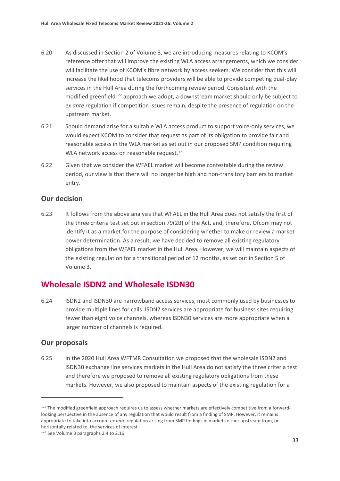- 6.20 As discussed in Section 2 of Volume 3, we are introducing measures relating to KCOM's reference offer that will improve the existing WLA access arrangements, which we consider will facilitate the use of KCOM's fibre network by access seekers. We consider that this will increase the likelihood that telecoms providers will be able to provide competing dual-play services in the Hull Area during the forthcoming review period. Consistent with the modified greenfield<sup>[122](#page-34-0)</sup> approach we adopt, a downstream market should only be subject to *ex ante* regulation if competition issues remain, despite the presence of regulation on the upstream market.
- 6.21 Should demand arise for a suitable WLA access product to support voice-only services, we would expect KCOM to consider that request as part of its obligation to provide fair and reasonable access in the WLA market as set out in our proposed SMP condition requiring WLA network access on reasonable request.<sup>[123](#page-34-1)</sup>
- 6.22 Given that we consider the WFAEL market will become contestable during the review period, our view is that there will no longer be high and non-transitory barriers to market entry.

## **Our decision**

6.23 It follows from the above analysis that WFAEL in the Hull Area does not satisfy the first of the three criteria test set out in section 79(2B) of the Act, and, therefore, Ofcom may not identify it as a market for the purpose of considering whether to make or review a market power determination. As a result, we have decided to remove all existing regulatory obligations from the WFAEL market in the Hull Area. However, we will maintain aspects of the existing regulation for a transitional period of 12 months, as set out in Section 5 of Volume 3.

# **Wholesale ISDN2 and Wholesale ISDN30**

6.24 ISDN2 and ISDN30 are narrowband access services, most commonly used by businesses to provide multiple lines for calls. ISDN2 services are appropriate for business sites requiring fewer than eight voice channels, whereas ISDN30 services are more appropriate when a larger number of channels is required.

## **Our proposals**

6.25 In the 2020 Hull Area WFTMR Consultation we proposed that the wholesale ISDN2 and ISDN30 exchange line services markets in the Hull Area do not satisfy the three criteria test and therefore we proposed to remove all existing regulatory obligations from these markets. However, we also proposed to maintain aspects of the existing regulation for a

<span id="page-34-0"></span><sup>&</sup>lt;sup>122</sup> The modified greenfield approach requires us to assess whether markets are effectively competitive from a forwardlooking perspective in the absence of any regulation that would result from a finding of SMP. However, it remains appropriate to take into account *ex ante* regulation arising from SMP findings in markets either upstream from, or horizontally related to, the services of interest.

<span id="page-34-1"></span><sup>&</sup>lt;sup>123</sup> See Volume 3 paragraphs 2.4 to 2.16.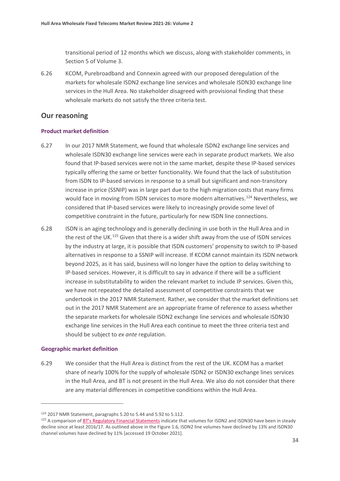transitional period of 12 months which we discuss, along with stakeholder comments, in Section 5 of Volume 3.

6.26 KCOM, Purebroadband and Connexin agreed with our proposed deregulation of the markets for wholesale ISDN2 exchange line services and wholesale ISDN30 exchange line services in the Hull Area. No stakeholder disagreed with provisional finding that these wholesale markets do not satisfy the three criteria test.

#### **Our reasoning**

#### **Product market definition**

- 6.27 In our 2017 NMR Statement, we found that wholesale ISDN2 exchange line services and wholesale ISDN30 exchange line services were each in separate product markets. We also found that IP-based services were not in the same market, despite these IP-based services typically offering the same or better functionality. We found that the lack of substitution from ISDN to IP-based services in response to a small but significant and non-transitory increase in price (SSNIP) was in large part due to the high migration costs that many firms would face in moving from ISDN services to more modern alternatives.<sup>[124](#page-35-0)</sup> Nevertheless, we considered that IP-based services were likely to increasingly provide some level of competitive constraint in the future, particularly for new ISDN line connections.
- 6.28 ISDN is an aging technology and is generally declining in use both in the Hull Area and in the rest of the UK.<sup>[125](#page-35-1)</sup> Given that there is a wider shift away from the use of ISDN services by the industry at large, it is possible that ISDN customers' propensity to switch to IP-based alternatives in response to a SSNIP will increase. If KCOM cannot maintain its ISDN network beyond 2025, as it has said, business will no longer have the option to delay switching to IP-based services. However, it is difficult to say in advance if there will be a sufficient increase in substitutability to widen the relevant market to include IP services. Given this, we have not repeated the detailed assessment of competitive constraints that we undertook in the 2017 NMR Statement. Rather, we consider that the market definitions set out in the 2017 NMR Statement are an appropriate frame of reference to assess whether the separate markets for wholesale ISDN2 exchange line services and wholesale ISDN30 exchange line services in the Hull Area each continue to meet the three criteria test and should be subject to *ex ante* regulation.

#### **Geographic market definition**

6.29 We consider that the Hull Area is distinct from the rest of the UK. KCOM has a market share of nearly 100% for the supply of wholesale ISDN2 or ISDN30 exchange lines services in the Hull Area, and BT is not present in the Hull Area. We also do not consider that there are any material differences in competitive conditions within the Hull Area.

<span id="page-35-0"></span><sup>124</sup> 2017 NMR Statement, paragraphs 5.20 to 5.44 and 5.92 to 5.112.

<span id="page-35-1"></span><sup>&</sup>lt;sup>125</sup> A comparison of [BT's Regulatory Financial Statements](https://www.bt.com/about/bt/policy-and-regulation/our-governance-and-strategy/regulatory-financial-statements#regulatory-financial-statements-2020) indicate that volumes for ISDN2 and ISDN30 have been in steady decline since at least 2016/17. As outlined above in the Figure 1.6, ISDN2 line volumes have declined by 13% and ISDN30 channel volumes have declined by 11% [accessed 19 October 2021].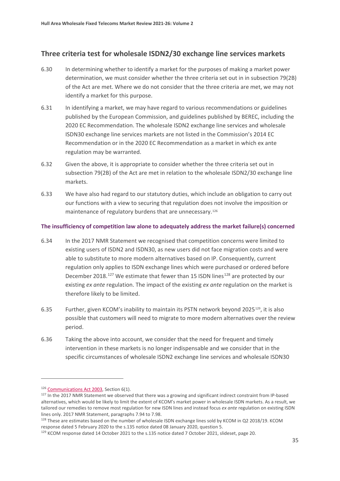## **Three criteria test for wholesale ISDN2/30 exchange line services markets**

- 6.30 In determining whether to identify a market for the purposes of making a market power determination, we must consider whether the three criteria set out in in subsection 79(2B) of the Act are met. Where we do not consider that the three criteria are met, we may not identify a market for this purpose.
- 6.31 In identifying a market, we may have regard to various recommendations or guidelines published by the European Commission, and guidelines published by BEREC, including the 2020 EC Recommendation. The wholesale ISDN2 exchange line services and wholesale ISDN30 exchange line services markets are not listed in the Commission's 2014 EC Recommendation or in the 2020 EC Recommendation as a market in which ex ante regulation may be warranted.
- 6.32 Given the above, it is appropriate to consider whether the three criteria set out in subsection 79(2B) of the Act are met in relation to the wholesale ISDN2/30 exchange line markets.
- 6.33 We have also had regard to our statutory duties, which include an obligation to carry out our functions with a view to securing that regulation does not involve the imposition or maintenance of regulatory burdens that are unnecessary.[126](#page-36-0)

#### **The insufficiency of competition law alone to adequately address the market failure(s) concerned**

- 6.34 In the 2017 NMR Statement we recognised that competition concerns were limited to existing users of ISDN2 and ISDN30, as new users did not face migration costs and were able to substitute to more modern alternatives based on IP. Consequently, current regulation only applies to ISDN exchange lines which were purchased or ordered before December 2018.<sup>[127](#page-36-1)</sup> We estimate that fewer than 15 ISDN lines<sup>[128](#page-36-2)</sup> are protected by our existing *ex ante* regulation. The impact of the existing *ex ante* regulation on the market is therefore likely to be limited.
- 6.35 Further, given KCOM's inability to maintain its PSTN network beyond 2025[129](#page-36-3), it is also possible that customers will need to migrate to more modern alternatives over the review period.
- 6.36 Taking the above into account, we consider that the need for frequent and timely intervention in these markets is no longer indispensable and we consider that in the specific circumstances of wholesale ISDN2 exchange line services and wholesale ISDN30

<span id="page-36-0"></span><sup>126</sup> [Communications Act 2003,](https://www.legislation.gov.uk/ukpga/2003/21/section/6) Section 6(1).

<span id="page-36-1"></span><sup>127</sup> In the 2017 NMR Statement we observed that there was a growing and significant indirect constraint from IP-based alternatives, which would be likely to limit the extent of KCOM's market power in wholesale ISDN markets. As a result, we tailored our remedies to remove most regulation for new ISDN lines and instead focus *ex ante* regulation on existing ISDN lines only. 2017 NMR Statement, paragraphs 7.94 to 7.98.

<span id="page-36-2"></span><sup>&</sup>lt;sup>128</sup> These are estimates based on the number of wholesale ISDN exchange lines sold by KCOM in Q2 2018/19. KCOM response dated 5 February 2020 to the s.135 notice dated 08 January 2020, question 5.

<span id="page-36-3"></span><sup>129</sup> KCOM response dated 14 October 2021 to the s.135 notice dated 7 October 2021, slideset, page 20.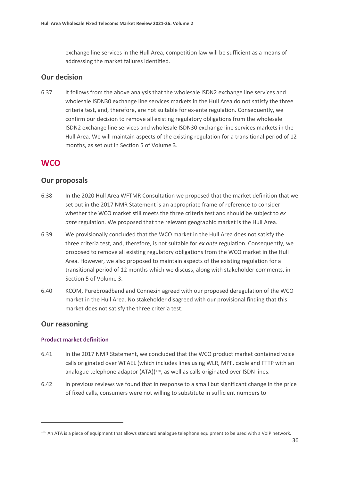exchange line services in the Hull Area, competition law will be sufficient as a means of addressing the market failures identified.

#### **Our decision**

6.37 It follows from the above analysis that the wholesale ISDN2 exchange line services and wholesale ISDN30 exchange line services markets in the Hull Area do not satisfy the three criteria test, and, therefore, are not suitable for ex-ante regulation. Consequently, we confirm our decision to remove all existing regulatory obligations from the wholesale ISDN2 exchange line services and wholesale ISDN30 exchange line services markets in the Hull Area. We will maintain aspects of the existing regulation for a transitional period of 12 months, as set out in Section 5 of Volume 3.

# **WCO**

## **Our proposals**

- 6.38 In the 2020 Hull Area WFTMR Consultation we proposed that the market definition that we set out in the 2017 NMR Statement is an appropriate frame of reference to consider whether the WCO market still meets the three criteria test and should be subject to *ex ante* regulation. We proposed that the relevant geographic market is the Hull Area.
- 6.39 We provisionally concluded that the WCO market in the Hull Area does not satisfy the three criteria test, and, therefore, is not suitable for *ex ante* regulation. Consequently, we proposed to remove all existing regulatory obligations from the WCO market in the Hull Area. However, we also proposed to maintain aspects of the existing regulation for a transitional period of 12 months which we discuss, along with stakeholder comments, in Section 5 of Volume 3.
- 6.40 KCOM, Purebroadband and Connexin agreed with our proposed deregulation of the WCO market in the Hull Area. No stakeholder disagreed with our provisional finding that this market does not satisfy the three criteria test.

## **Our reasoning**

#### **Product market definition**

- 6.41 In the 2017 NMR Statement, we concluded that the WCO product market contained voice calls originated over WFAEL (which includes lines using WLR, MPF, cable and FTTP with an analogue telephone adaptor (ATA))<sup>[130](#page-37-0)</sup>, as well as calls originated over ISDN lines.
- 6.42 In previous reviews we found that in response to a small but significant change in the price of fixed calls, consumers were not willing to substitute in sufficient numbers to

<span id="page-37-0"></span><sup>&</sup>lt;sup>130</sup> An ATA is a piece of equipment that allows standard analogue telephone equipment to be used with a VoIP network.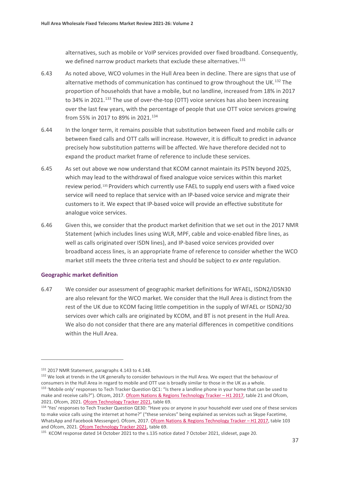alternatives, such as mobile or VoIP services provided over fixed broadband. Consequently, we defined narrow product markets that exclude these alternatives.<sup>[131](#page-38-0)</sup>

- 6.43 As noted above, WCO volumes in the Hull Area been in decline. There are signs that use of alternative methods of communication has continued to grow throughout the UK.<sup>[132](#page-38-1)</sup> The proportion of households that have a mobile, but no landline, increased from 18% in 2017 to 34% in 2021.<sup>[133](#page-38-2)</sup> The use of over-the-top (OTT) voice services has also been increasing over the last few years, with the percentage of people that use OTT voice services growing from 55% in 2017 to 89% in 2021.<sup>[134](#page-38-3)</sup>
- 6.44 In the longer term, it remains possible that substitution between fixed and mobile calls or between fixed calls and OTT calls will increase. However, it is difficult to predict in advance precisely how substitution patterns will be affected. We have therefore decided not to expand the product market frame of reference to include these services.
- 6.45 As set out above we now understand that KCOM cannot maintain its PSTN beyond 2025, which may lead to the withdrawal of fixed analogue voice services within this market review period.<sup>[135](#page-38-4)</sup> Providers which currently use FAEL to supply end users with a fixed voice service will need to replace that service with an IP-based voice service and migrate their customers to it. We expect that IP-based voice will provide an effective substitute for analogue voice services.
- 6.46 Given this, we consider that the product market definition that we set out in the 2017 NMR Statement (which includes lines using WLR, MPF, cable and voice-enabled fibre lines, as well as calls originated over ISDN lines), and IP-based voice services provided over broadband access lines, is an appropriate frame of reference to consider whether the WCO market still meets the three criteria test and should be subject to *ex ante* regulation.

#### **Geographic market definition**

6.47 We consider our assessment of geographic market definitions for WFAEL, ISDN2/IDSN30 are also relevant for the WCO market. We consider that the Hull Area is distinct from the rest of the UK due to KCOM facing little competition in the supply of WFAEL or ISDN2/30 services over which calls are originated by KCOM, and BT is not present in the Hull Area. We also do not consider that there are any material differences in competitive conditions within the Hull Area.

<span id="page-38-2"></span><span id="page-38-1"></span><span id="page-38-0"></span> $131$  2017 NMR Statement, paragraphs 4.143 to 4.148.<br> $132$  We look at trends in the UK generally to consider behaviours in the Hull Area. We expect that the behaviour of consumers in the Hull Area in regard to mobile and OTT use is broadly similar to those in the UK as a whole. 133 'Mobile only' responses to Tech Tracker Question QC1: "Is there a landline phone in your home that can be used to make and receive calls?"). Ofcom, 2017. [Ofcom Nations & Regions Technology Tracker –](https://www.ofcom.org.uk/__data/assets/pdf_file/0015/101292/technology-tracker-data-tables-h1-2017.pdf) H1 2017, table 21 and Ofcom, 2021. Ofcom, 2021. [Ofcom Technology Tracker 2021,](https://www.ofcom.org.uk/__data/assets/pdf_file/0015/219102/technology-tracker-2021-data-tables.pdf) table 69.

<span id="page-38-3"></span><sup>134</sup> 'Yes' responses to Tech Tracker Question QE30: "Have you or anyone in your household ever used one of these services to make voice calls using the internet at home?" ("these services" being explained as services such as Skype Facetime, WhatsApp and Facebook Messenger). Ofcom, 2017. Ofcom Nations & Regions Technology Tracker - H1 2017, table 103 and Ofcom, 2021. [Ofcom Technology Tracker 2021,](https://www.ofcom.org.uk/__data/assets/pdf_file/0015/219102/technology-tracker-2021-data-tables.pdf) table 69.

<span id="page-38-4"></span><sup>&</sup>lt;sup>135</sup> KCOM response dated 14 October 2021 to the s.135 notice dated 7 October 2021, slideset, page 20.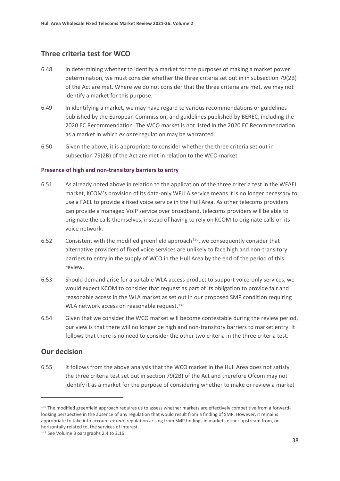## **Three criteria test for WCO**

- 6.48 In determining whether to identify a market for the purposes of making a market power determination, we must consider whether the three criteria set out in in subsection 79(2B) of the Act are met. Where we do not consider that the three criteria are met, we may not identify a market for this purpose.
- 6.49 In identifying a market, we may have regard to various recommendations or guidelines published by the European Commission, and guidelines published by BEREC, including the 2020 EC Recommendation. The WCO market is not listed in the 2020 EC Recommendation as a market in which *ex ante* regulation may be warranted.
- 6.50 Given the above, it is appropriate to consider whether the three criteria set out in subsection 79(2B) of the Act are met in relation to the WCO market.

#### **Presence of high and non-transitory barriers to entry**

- 6.51 As already noted above in relation to the application of the three criteria test in the WFAEL market, KCOM's provision of its data-only WFLLA service means it is no longer necessary to use a FAEL to provide a fixed voice service in the Hull Area. As other telecoms providers can provide a managed VoIP service over broadband, telecoms providers will be able to originate the calls themselves, instead of having to rely on KCOM to originate calls on its voice network.
- 6.52 Consistent with the modified greenfield approach<sup>136</sup>, we consequently consider that alternative providers of fixed voice services are unlikely to face high and non-transitory barriers to entry in the supply of WCO in the Hull Area by the end of the period of this review.
- 6.53 Should demand arise for a suitable WLA access product to support voice-only services, we would expect KCOM to consider that request as part of its obligation to provide fair and reasonable access in the WLA market as set out in our proposed SMP condition requiring WLA network access on reasonable request.<sup>[137](#page-39-1)</sup>
- 6.54 Given that we consider the WCO market will become contestable during the review period, our view is that there will no longer be high and non-transitory barriers to market entry. It follows that there is no need to consider the other two criteria in the three criteria test.

#### **Our decision**

6.55 It follows from the above analysis that the WCO market in the Hull Area does not satisfy the three criteria test set out in section 79(2B) of the Act and therefore Ofcom may not identify it as a market for the purpose of considering whether to make or review a market

<span id="page-39-0"></span><sup>136</sup> The modified greenfield approach requires us to assess whether markets are effectively competitive from a forwardlooking perspective in the absence of any regulation that would result from a finding of SMP. However, it remains appropriate to take into account *ex ante* regulation arising from SMP findings in markets either upstream from, or horizontally related to, the services of interest.

<span id="page-39-1"></span><sup>&</sup>lt;sup>137</sup> See Volume 3 paragraphs 2.4 to 2.16.